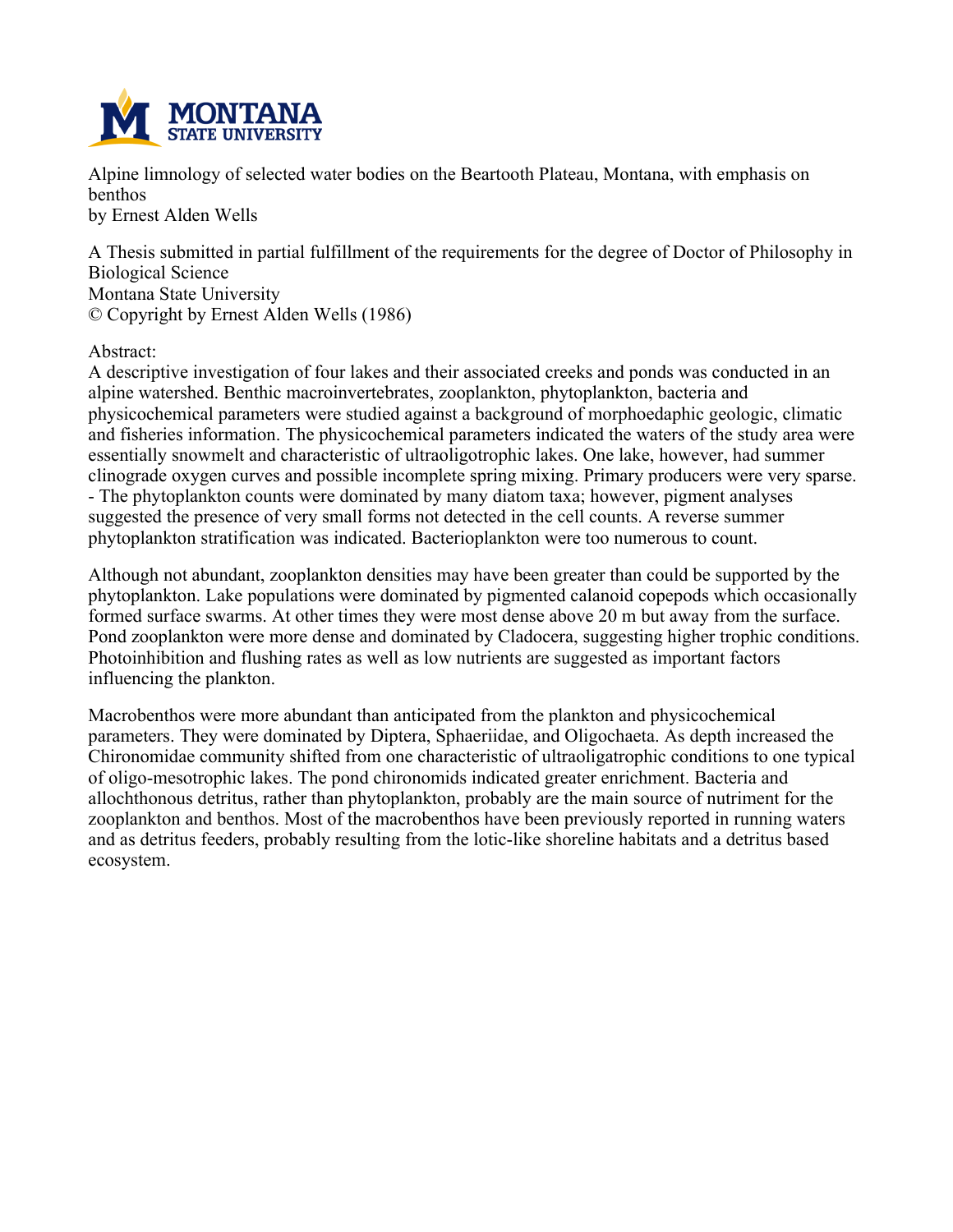

**Alpine limnology of selected water bodies on the Beartooth Plateau, Montana, with emphasis on benthos**

**by Ernest Alden Wells**

**A Thesis submitted in partial fulfillment of the requirements for the degree of Doctor of Philosophy in Biological Science Montana State University © Copyright by Ernest Alden Wells (1986)**

### **Abstract:**

**A descriptive investigation of four lakes and their associated creeks and ponds was conducted in an alpine watershed. Benthic macroinvertebrates, zooplankton, phytoplankton, bacteria and physicochemical parameters were studied against a background of morphoedaphic geologic, climatic and fisheries information. The physicochemical parameters indicated the waters of the study area were essentially snowmelt and characteristic of ultraoligotrophic lakes. One lake, however, had summer clinograde oxygen curves and possible incomplete spring mixing. Primary producers were very sparse. - The phytoplankton counts were dominated by many diatom taxa; however, pigment analyses suggested the presence of very small forms not detected in the cell counts. A reverse summer phytoplankton stratification was indicated. Bacterioplankton were too numerous to count.**

**Although not abundant, zooplankton densities may have been greater than could be supported by the phytoplankton. Lake populations were dominated by pigmented calanoid copepods which occasionally formed surface swarms. At other times they were most dense above 20 m but away from the surface. Pond zooplankton were more dense and dominated by Cladocera, suggesting higher trophic conditions. Photoinhibition and flushing rates as well as low nutrients are suggested as important factors influencing the plankton.**

**Macrobenthos were more abundant than anticipated from the plankton and physicochemical parameters. They were dominated by Diptera, Sphaeriidae, and Oligochaeta. As depth increased the Chironomidae community shifted from one characteristic of ultraoligatrophic conditions to one typical of oligo-mesotrophic lakes. The pond chironomids indicated greater enrichment. Bacteria and allochthonous detritus, rather than phytoplankton, probably are the main source of nutriment for the zooplankton and benthos. Most of the macrobenthos have been previously reported in running waters and as detritus feeders, probably resulting from the lotic-like shoreline habitats and a detritus based ecosystem.**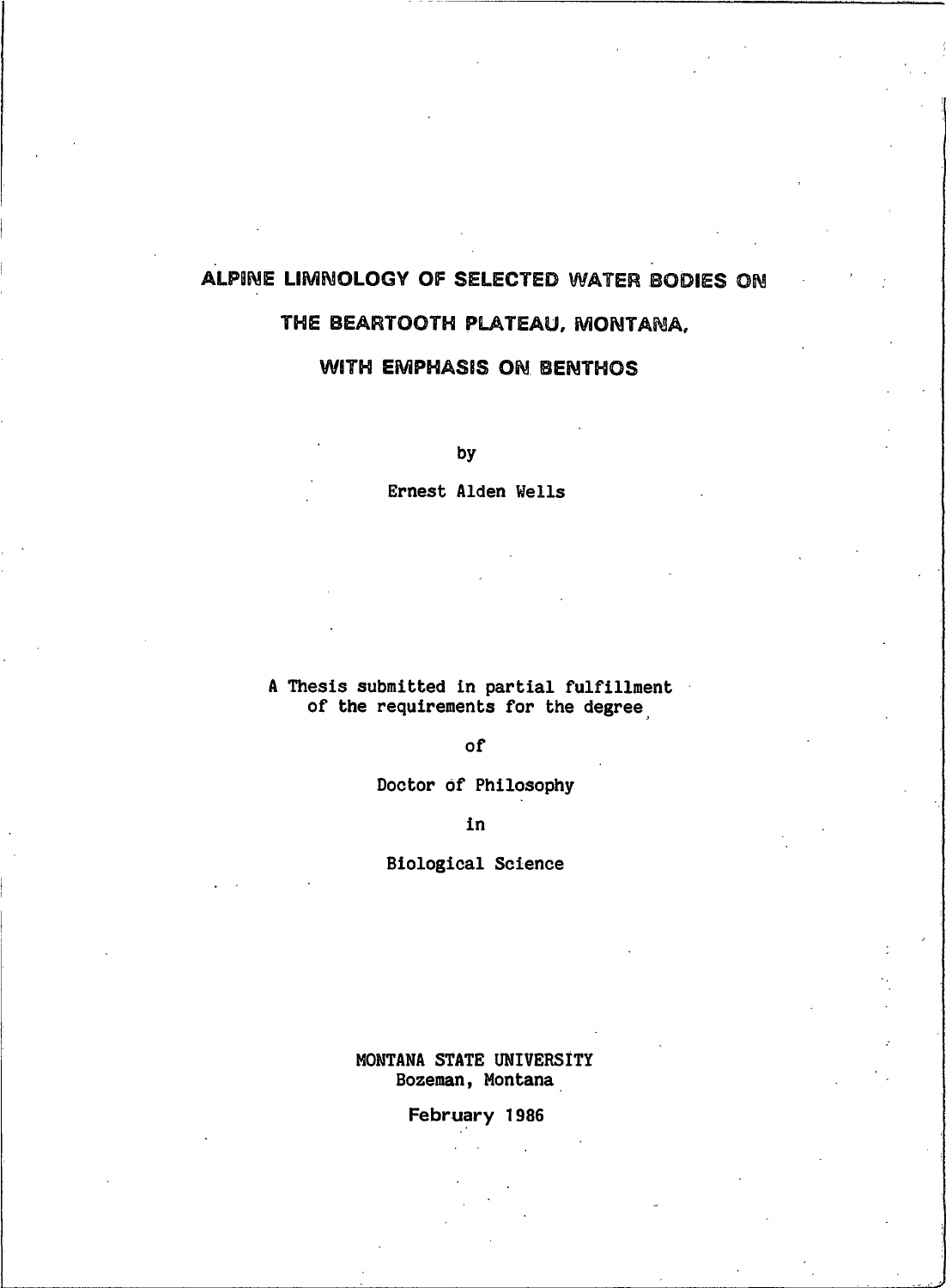# ALPINE LIMNOLOGY OF SELECTED WATER BODIES ON THE BEARTOOTH PLATEAU, MONTANA,

### **WITH EMPHASIS ON BENTHOS**

by

Ernest Alden Wells

### A Thesis submitted in partial fulfillment of the requirements for the degree

of

Doctor of Philosophy

in

**Biological Science** 

MONTANA STATE UNIVERSITY Bozeman, Montana

February 1986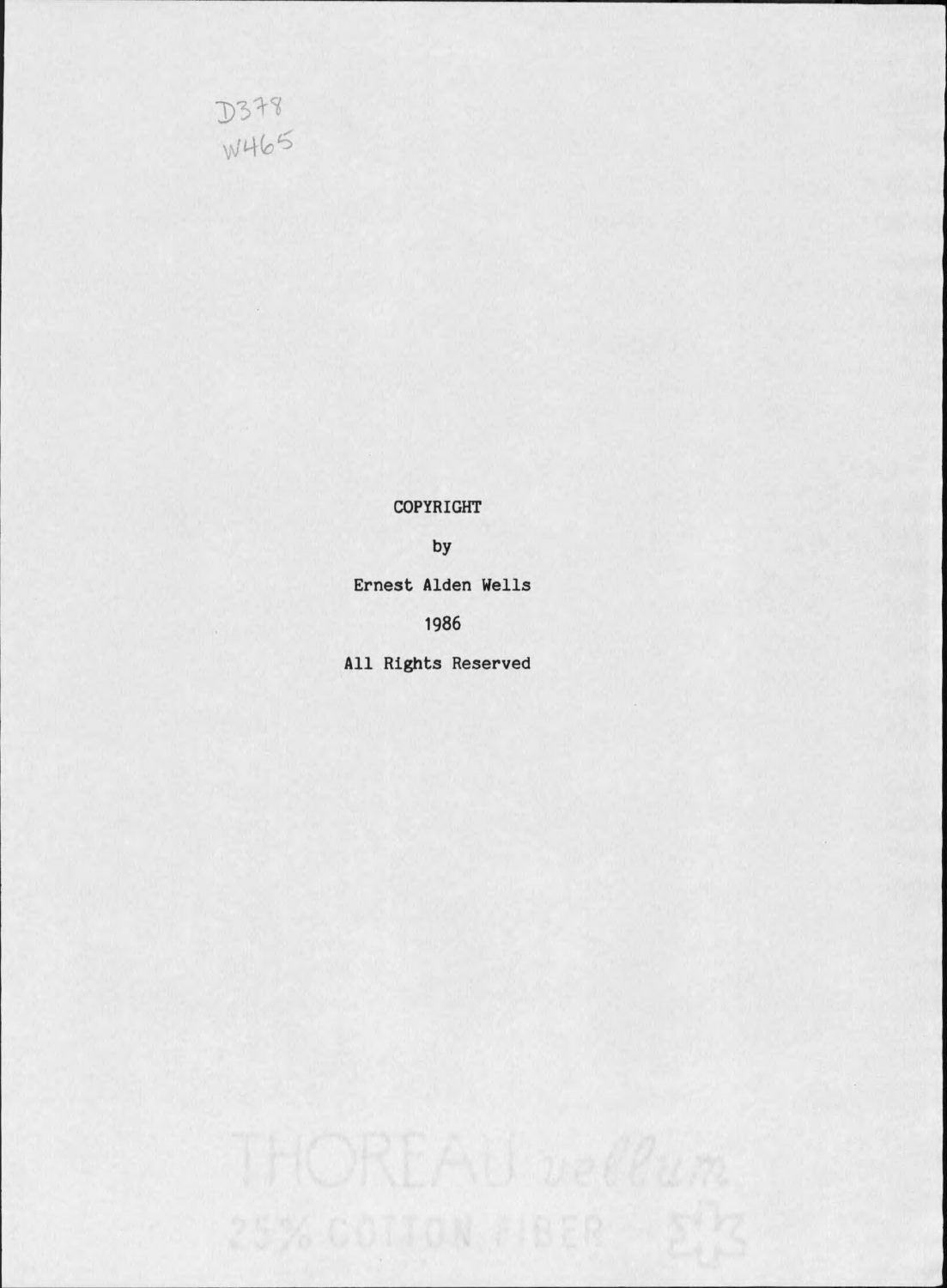

COPYRIGHT

by

Ernest Alden Wells

1986

All Rights Reserved

25% COTTON FIBER E'S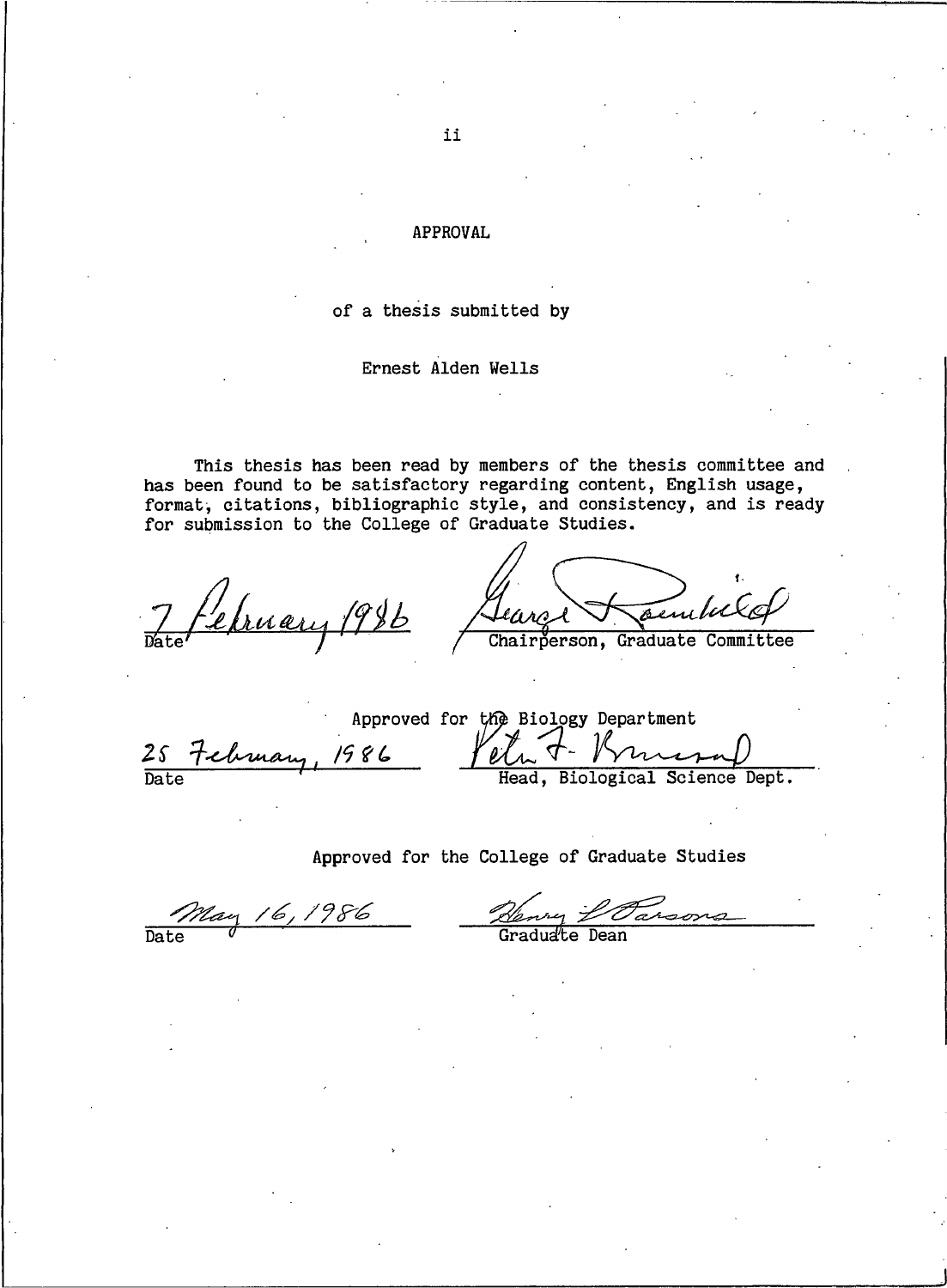### **APPROVAL**

### of a thesis submitted by

#### Ernest Alden Wells

This thesis has been read by members of the thesis committee and has been found to be satisfactory regarding content, English usage, format, citations, bibliographic style, and consistency, and is ready for submission to the College of Graduate Studies.

7 February 1986

Gearge sembeld

Chairperson, Graduate Committee

Approved for the Biology Department 25 February, 1986 Veta J Biological Science Dept.

### Approved for the College of Graduate Studies

May 16,1986 Date

ry *L'Oarsons*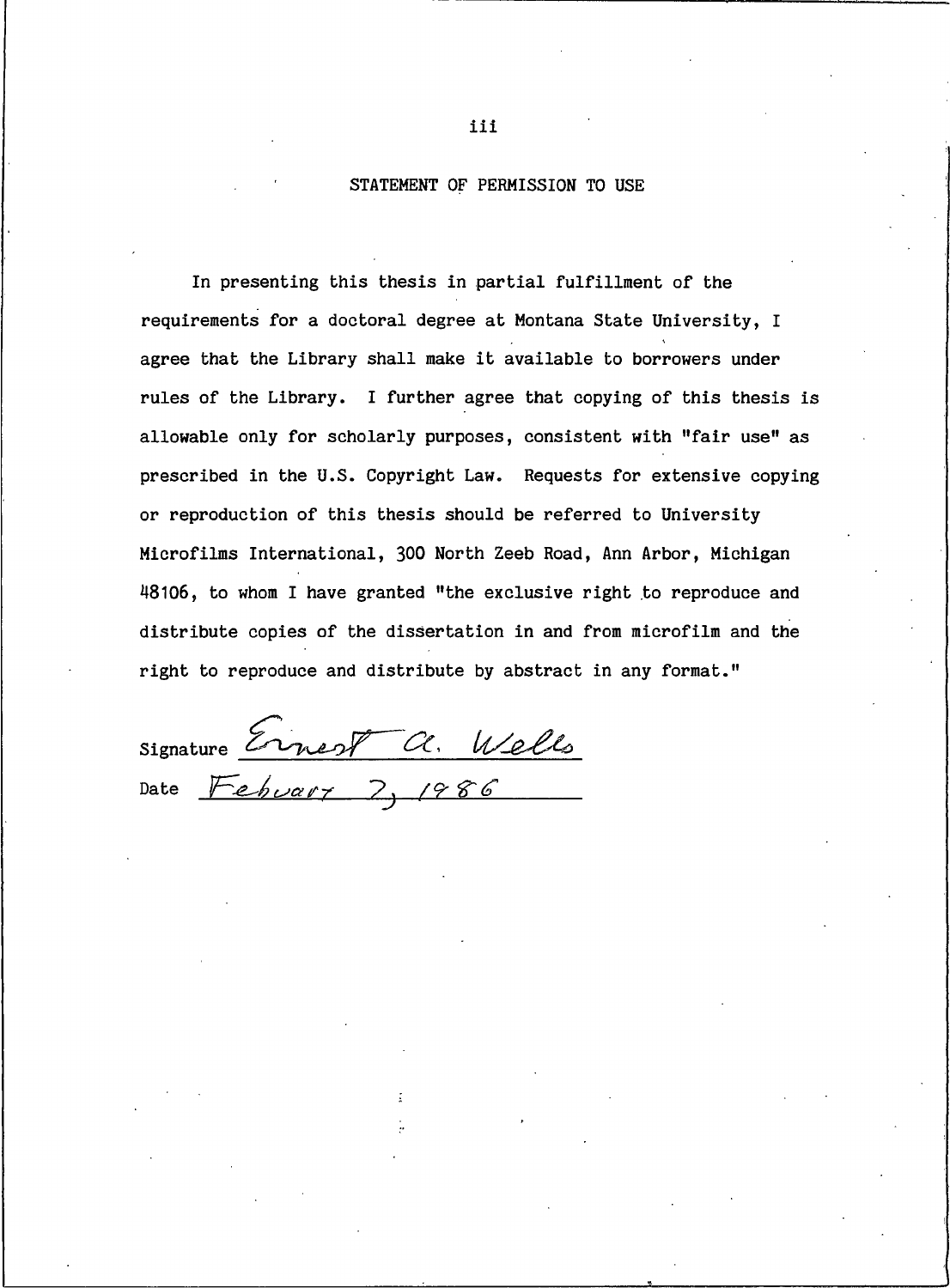### STATEMENT OF PERMISSION TO USE

In presenting this thesis in partial fulfillment of the requirements for a doctoral degree at Montana State University, I agree that the Library shall make it available to borrowers under rules of the Library. I further agree that copying of this thesis is allowable only for scholarly purposes, consistent with "fair use" as prescribed in the U.S. Copyright Law. Requests for extensive copying or reproduction of this thesis should be referred to University Microfilms International, 300 North Zeeb Road, Ann Arbor, Michigan 48106, to whom I have granted "the exclusive right to reproduce and distribute copies of the dissertation in and from microfilm and the right to reproduce and distribute by abstract in any format."

Signature Ernest a. Wells

iii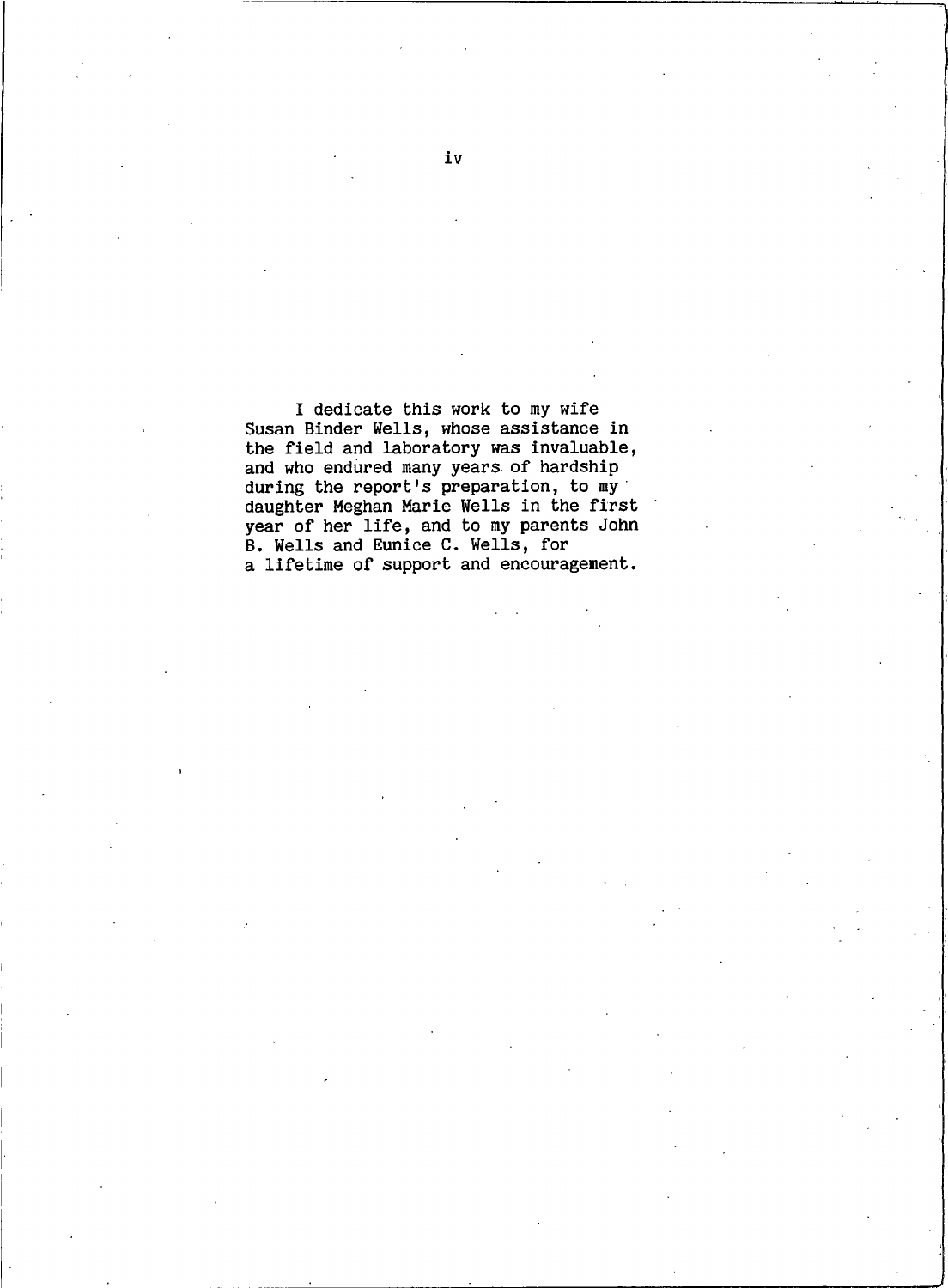I dedicate this work to my wife Susan Binder Wells, whose assistance in the field and laboratory was invaluable, and who endured many years of hardship during the report's preparation, to my daughter Meghan Marie Wells in the first<br>year of her life, and to my parents John B. Wells and Eunice C. Wells, for a lifetime of support and encouragement.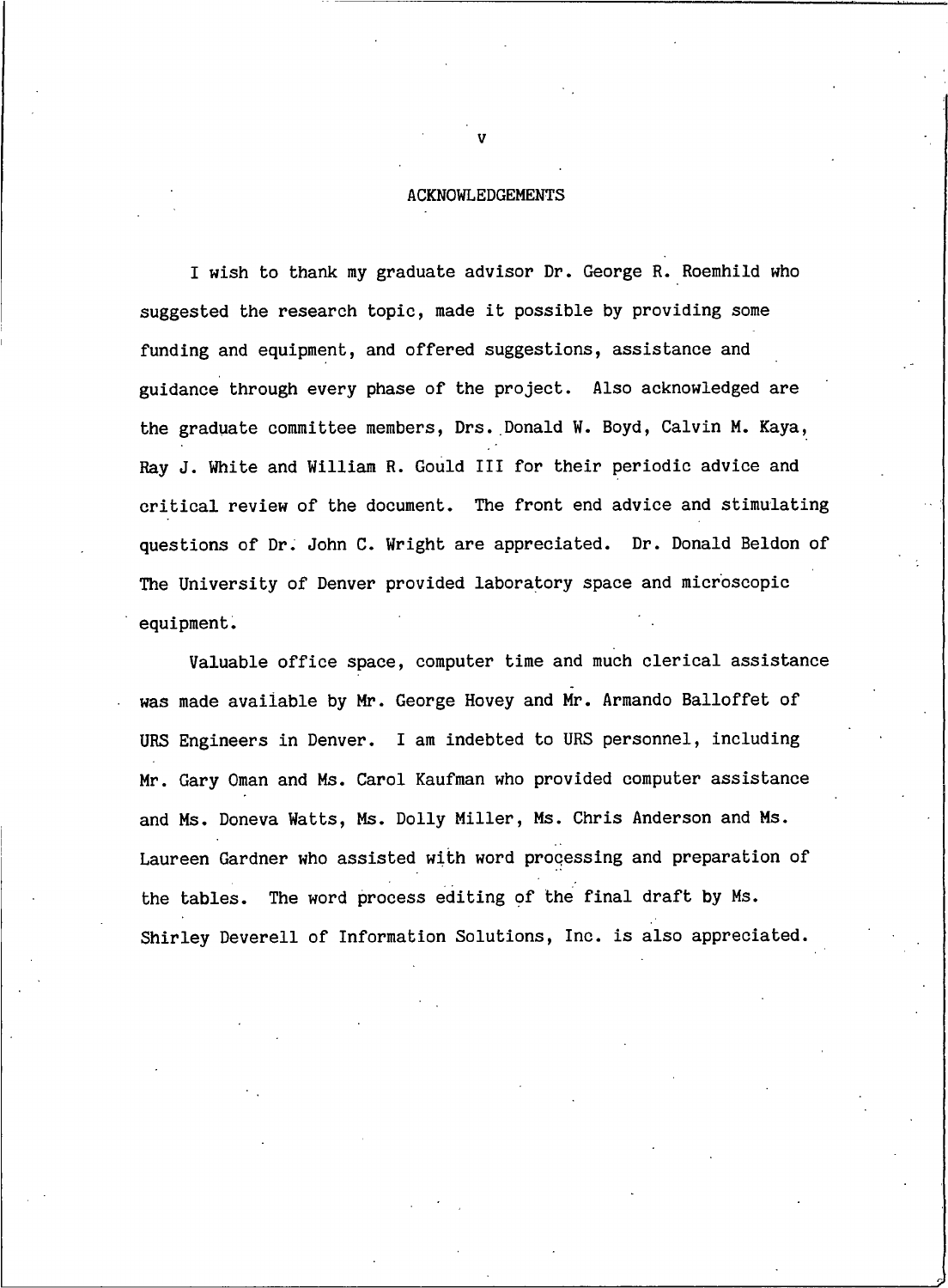#### **ACKNOWLEDGEMENTS**

I wish to thank my graduate advisor Dr. George R. Roemhild who suggested the research topic, made it possible by providing some funding and equipment, and offered suggestions, assistance and guidance through every phase of the project. Also acknowledged are the graduate committee members, Drs. Donald W. Boyd, Calvin M. Kaya, Rav J. White and William R. Gould III for their periodic advice and critical review of the document. The front end advice and stimulating questions of Dr. John C. Wright are appreciated. Dr. Donald Beldon of The University of Denver provided laboratory space and microscopic equipment.

Valuable office space, computer time and much clerical assistance was made available by Mr. George Hovey and Mr. Armando Balloffet of URS Engineers in Denver. I am indebted to URS personnel, including Mr. Gary Oman and Ms. Carol Kaufman who provided computer assistance and Ms. Doneva Watts, Ms. Dolly Miller, Ms. Chris Anderson and Ms. Laureen Gardner who assisted with word processing and preparation of the tables. The word process editing of the final draft by Ms. Shirley Deverell of Information Solutions, Inc. is also appreciated.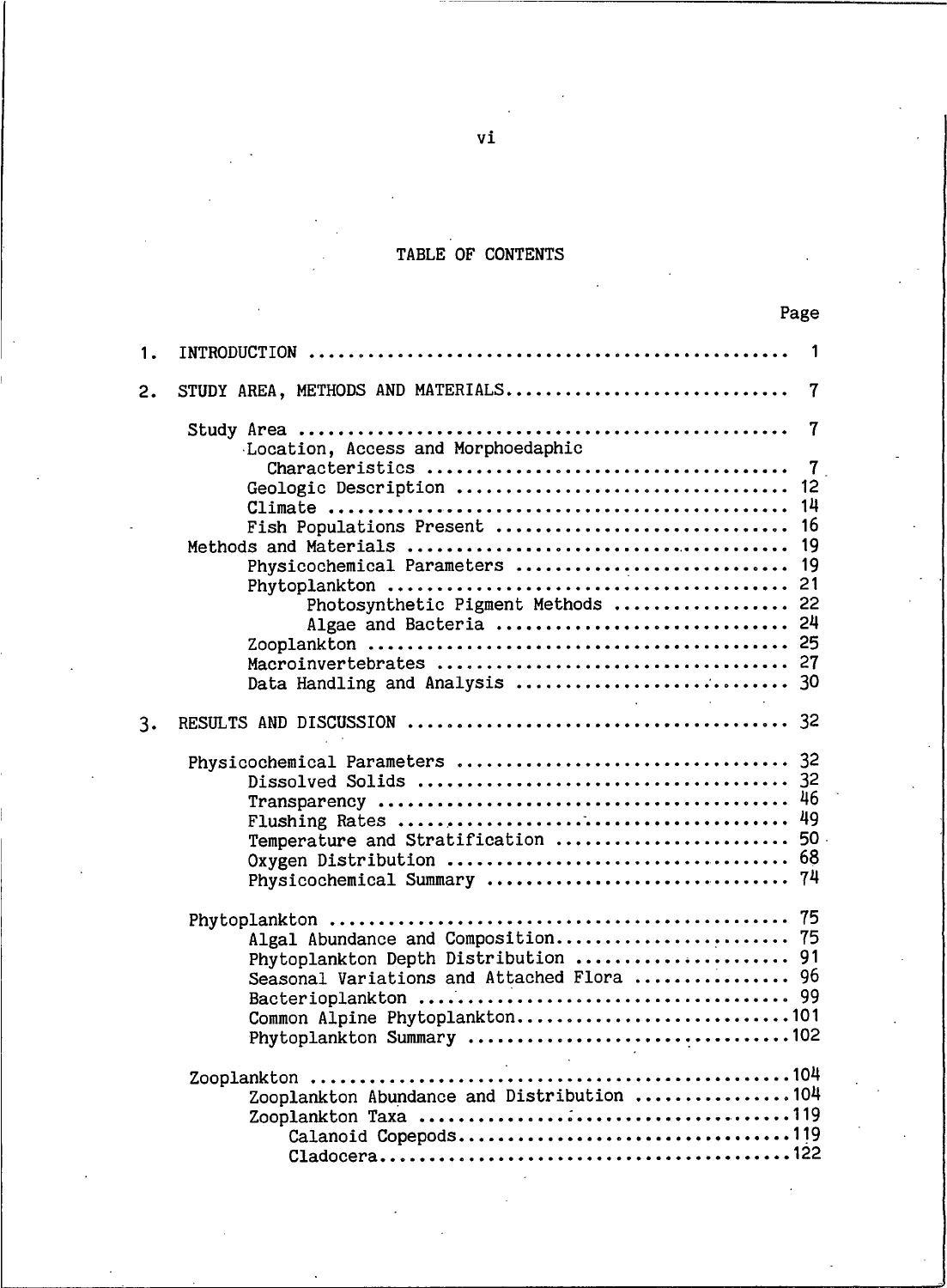### TABLE OF CONTENTS

| 1. |                                                                                        | 1                                     |
|----|----------------------------------------------------------------------------------------|---------------------------------------|
| 2. | STUDY AREA, METHODS AND MATERIALS                                                      | 7                                     |
|    | Location, Access and Morphoedaphic<br>Geologic Description<br>Fish Populations Present | 7<br>$\overline{7}$<br>12<br>14<br>16 |
|    | Physicochemical Parameters<br>Photosynthetic Pigment Methods<br>Algae and Bacteria     | 19<br>19<br>21<br>22<br>24            |
| 3. |                                                                                        |                                       |
|    | Temperature and Stratification<br>Physicochemical Summary                              | 46<br>49<br>50<br>74                  |
|    | Algal Abundance and Composition 75<br>Seasonal Variations and Attached Flora  96       |                                       |
|    | $\Delta \sim 10$<br>Zooplankton Abundance and Distribution 104<br>Calanoid Copepods119 |                                       |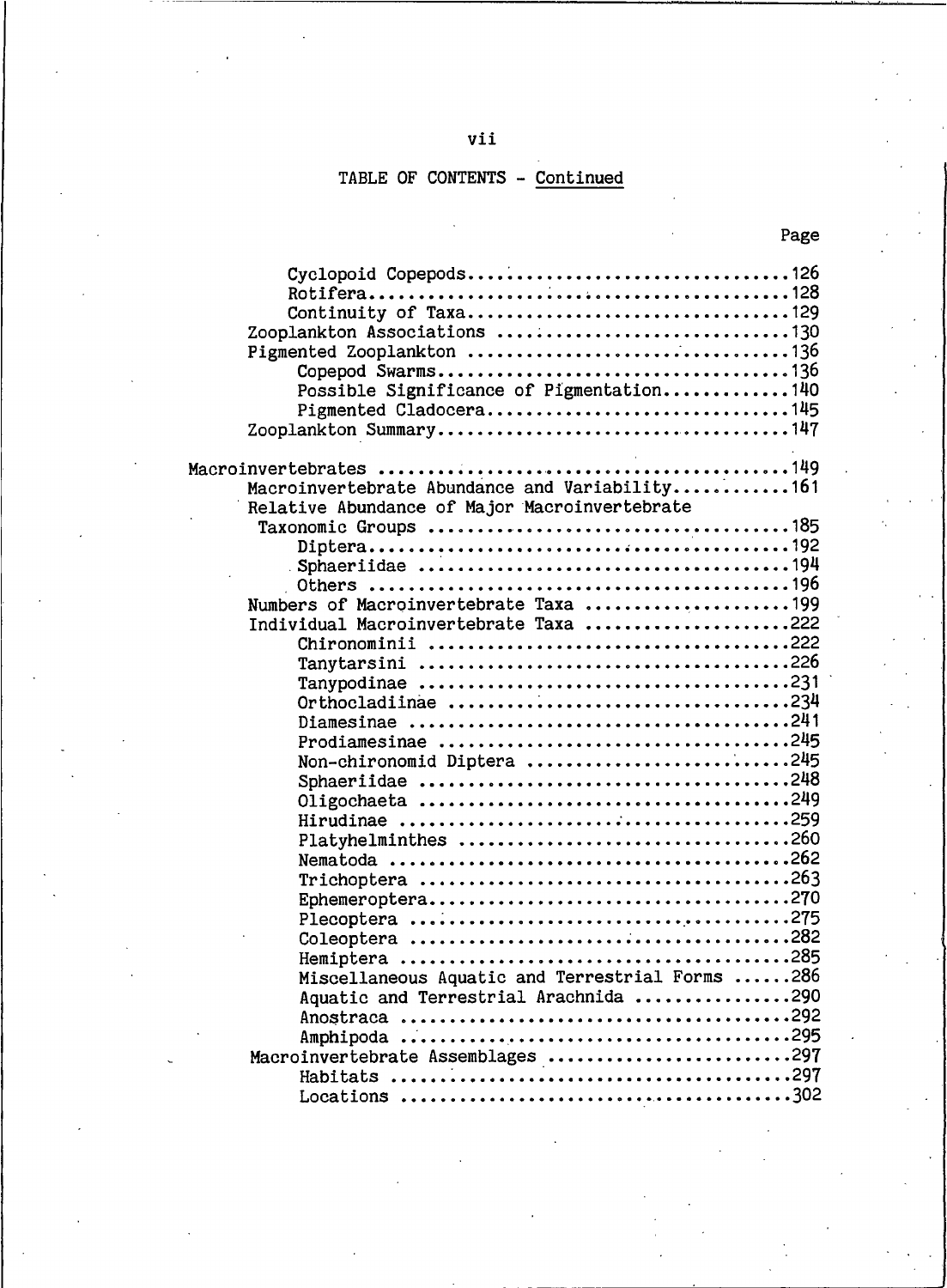## TABLE OF CONTENTS - Continued

| Cyclopoid Copepods126<br>Zooplankton Associations 130<br>Copepod Swarms136<br>Possible Significance of Pigmentation140<br>Pigmented Cladocera145 |  |
|--------------------------------------------------------------------------------------------------------------------------------------------------|--|
|                                                                                                                                                  |  |
| Macroinvertebrate Abundance and Variability161                                                                                                   |  |
|                                                                                                                                                  |  |
| Relative Abundance of Major Macroinvertebrate                                                                                                    |  |
|                                                                                                                                                  |  |
|                                                                                                                                                  |  |
|                                                                                                                                                  |  |
| Numbers of Macroinvertebrate Taxa 199                                                                                                            |  |
| Individual Macroinvertebrate Taxa 222                                                                                                            |  |
|                                                                                                                                                  |  |
|                                                                                                                                                  |  |
|                                                                                                                                                  |  |
| Orthocladiinae 234                                                                                                                               |  |
|                                                                                                                                                  |  |
| Prodiamesinae 245                                                                                                                                |  |
| Non-chironomid Diptera 245                                                                                                                       |  |
|                                                                                                                                                  |  |
|                                                                                                                                                  |  |
|                                                                                                                                                  |  |
| Platyhelminthes 260                                                                                                                              |  |
|                                                                                                                                                  |  |
|                                                                                                                                                  |  |
|                                                                                                                                                  |  |
|                                                                                                                                                  |  |
|                                                                                                                                                  |  |
|                                                                                                                                                  |  |
| Miscellaneous Aquatic and Terrestrial Forms 286                                                                                                  |  |
| Aquatic and Terrestrial Arachnida 290                                                                                                            |  |
|                                                                                                                                                  |  |
|                                                                                                                                                  |  |
| Macroinvertebrate Assemblages 297                                                                                                                |  |
|                                                                                                                                                  |  |
|                                                                                                                                                  |  |

### Page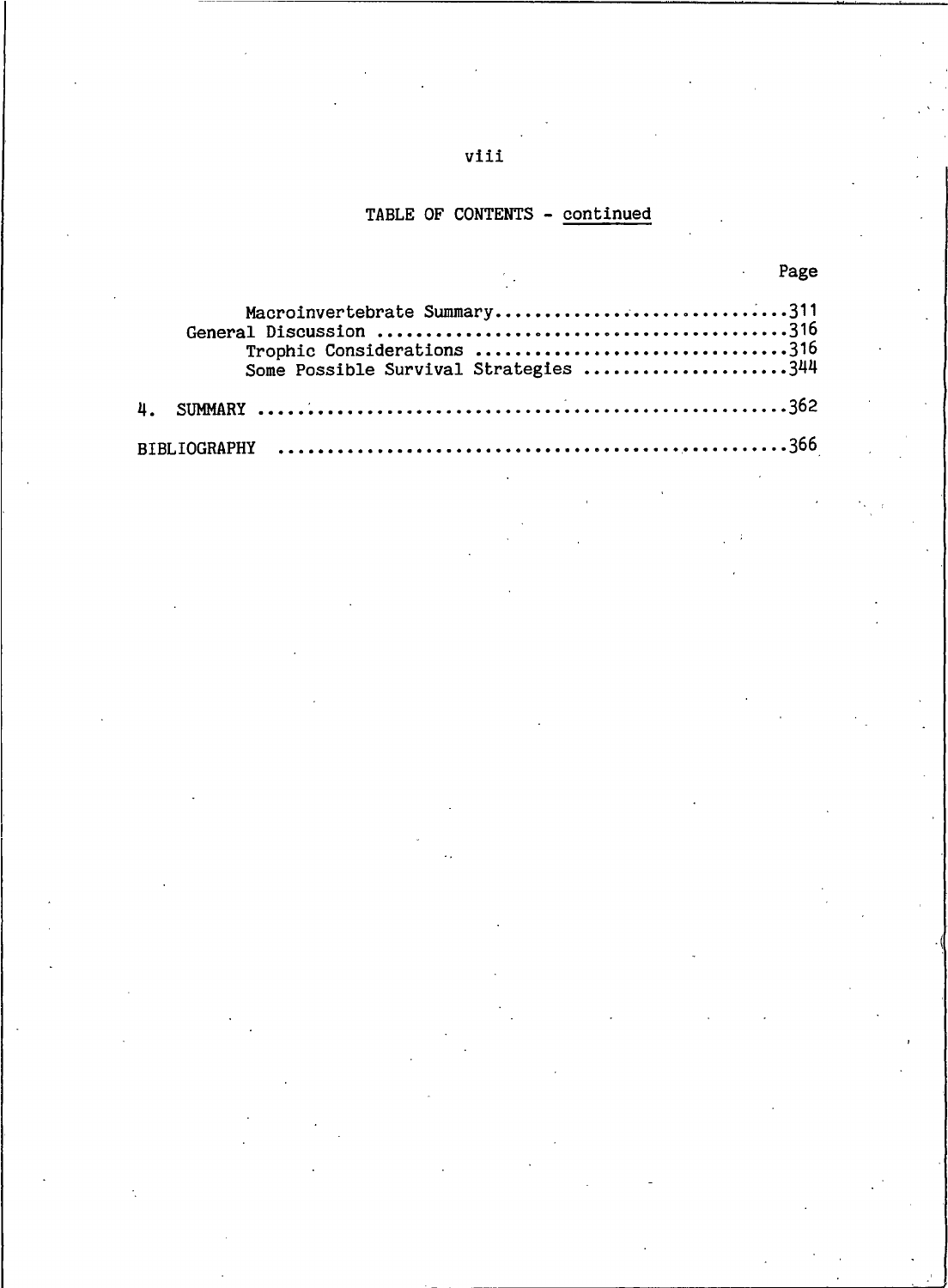### TABLE OF CONTENTS - continued

| <u>and the contract of the contract of the contract of the contract of the contract of the contract of the contract of the contract of the contract of the contract of the contract of the contract of the contract of the contr</u> |  |
|--------------------------------------------------------------------------------------------------------------------------------------------------------------------------------------------------------------------------------------|--|
| Macroinvertebrate Summary311<br>Trophic Considerations 316<br>Some Possible Survival Strategies 344                                                                                                                                  |  |
|                                                                                                                                                                                                                                      |  |
|                                                                                                                                                                                                                                      |  |

### viii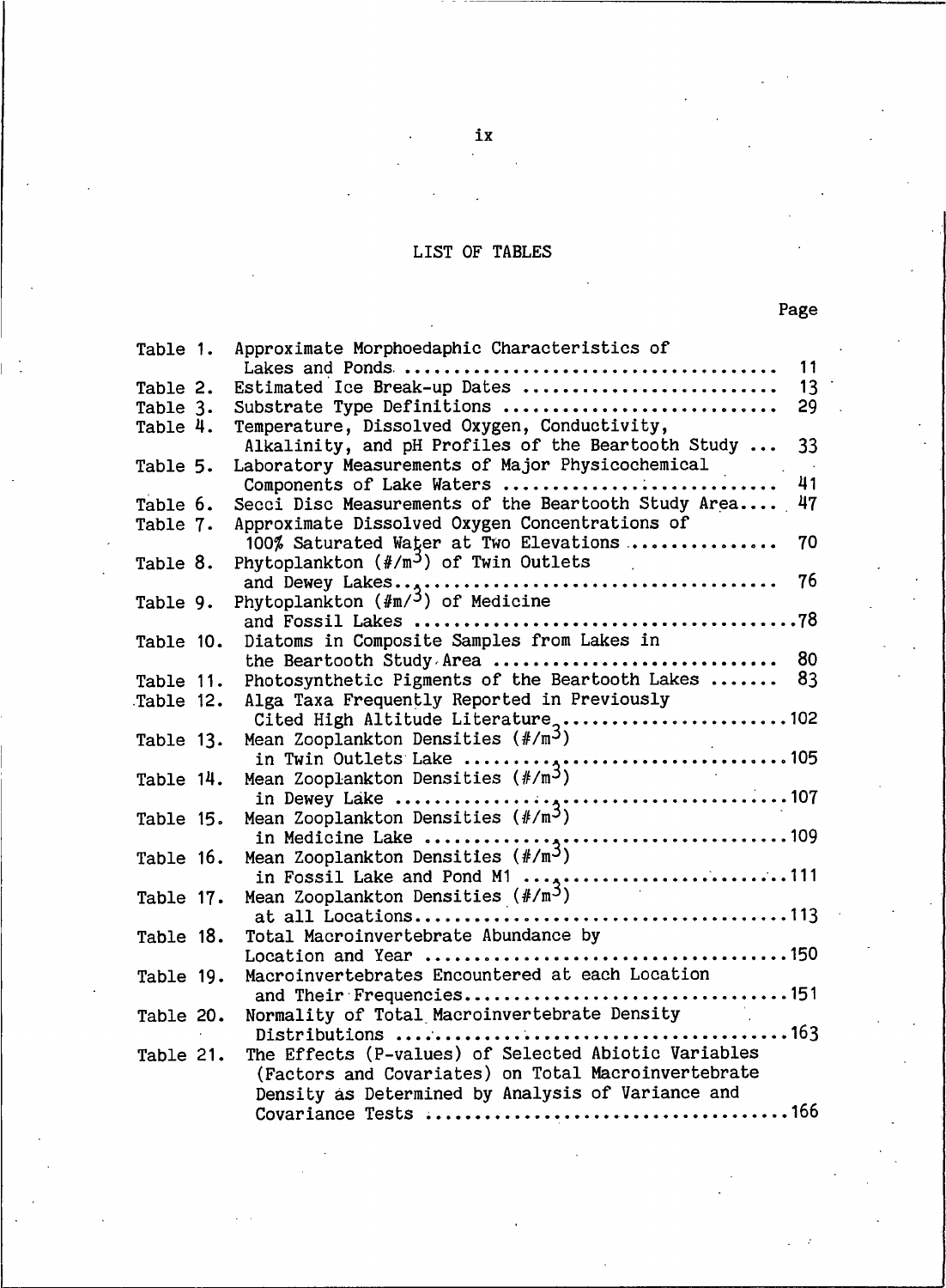### LIST OF TABLES

| Table 1.  | Approximate Morphoedaphic Characteristics of                                                                                                                                                                                                                                                                                                                                       |  |
|-----------|------------------------------------------------------------------------------------------------------------------------------------------------------------------------------------------------------------------------------------------------------------------------------------------------------------------------------------------------------------------------------------|--|
|           | 11                                                                                                                                                                                                                                                                                                                                                                                 |  |
| Table 2.  | Estimated Ice Break-up Dates<br>13                                                                                                                                                                                                                                                                                                                                                 |  |
| Table 3.  | 29<br>Substrate Type Definitions                                                                                                                                                                                                                                                                                                                                                   |  |
| Table 4.  | Temperature, Dissolved Oxygen, Conductivity,                                                                                                                                                                                                                                                                                                                                       |  |
|           | Alkalinity, and pH Profiles of the Beartooth Study<br>33                                                                                                                                                                                                                                                                                                                           |  |
| Table 5.  | Laboratory Measurements of Major Physicochemical                                                                                                                                                                                                                                                                                                                                   |  |
|           | 41<br>Components of Lake Waters                                                                                                                                                                                                                                                                                                                                                    |  |
| Table 6.  | Secci Disc Measurements of the Beartooth Study Area<br>47                                                                                                                                                                                                                                                                                                                          |  |
| Table 7.  | Approximate Dissolved Oxygen Concentrations of                                                                                                                                                                                                                                                                                                                                     |  |
|           | 100% Saturated Water at Two Elevations<br>70                                                                                                                                                                                                                                                                                                                                       |  |
| Table 8.  | Phytoplankton $(\#/\mathfrak{m}^3)$ of Twin Outlets                                                                                                                                                                                                                                                                                                                                |  |
|           | 76                                                                                                                                                                                                                                                                                                                                                                                 |  |
| Table 9.  | Phytoplankton $(\text{Im}/5)$ of Medicine                                                                                                                                                                                                                                                                                                                                          |  |
|           |                                                                                                                                                                                                                                                                                                                                                                                    |  |
| Table 10. | Diatoms in Composite Samples from Lakes in                                                                                                                                                                                                                                                                                                                                         |  |
|           | 80<br>the Beartooth Study Area                                                                                                                                                                                                                                                                                                                                                     |  |
| Table 11. | Photosynthetic Pigments of the Beartooth Lakes<br>83                                                                                                                                                                                                                                                                                                                               |  |
| Table 12. | Alga Taxa Frequently Reported in Previously                                                                                                                                                                                                                                                                                                                                        |  |
|           | Cited High Altitude Literature102                                                                                                                                                                                                                                                                                                                                                  |  |
| Table 13. | Mean Zooplankton Densities $(\frac{\text{#}}{\text{m}})^3$                                                                                                                                                                                                                                                                                                                         |  |
|           |                                                                                                                                                                                                                                                                                                                                                                                    |  |
| Table 14. |                                                                                                                                                                                                                                                                                                                                                                                    |  |
|           |                                                                                                                                                                                                                                                                                                                                                                                    |  |
| Table 15. |                                                                                                                                                                                                                                                                                                                                                                                    |  |
|           |                                                                                                                                                                                                                                                                                                                                                                                    |  |
| Table 16. |                                                                                                                                                                                                                                                                                                                                                                                    |  |
|           | in Fossil Lake and Pond M1 ,111                                                                                                                                                                                                                                                                                                                                                    |  |
| Table 17. | Mean Zooplankton Densities $(\frac{\#}{m}^3)$                                                                                                                                                                                                                                                                                                                                      |  |
|           |                                                                                                                                                                                                                                                                                                                                                                                    |  |
| Table 18. | Total Macroinvertebrate Abundance by                                                                                                                                                                                                                                                                                                                                               |  |
|           |                                                                                                                                                                                                                                                                                                                                                                                    |  |
| Table 19. | Macroinvertebrates Encountered at each Location                                                                                                                                                                                                                                                                                                                                    |  |
|           | and Their Frequencies151                                                                                                                                                                                                                                                                                                                                                           |  |
| Table 20. | Normality of Total Macroinvertebrate Density                                                                                                                                                                                                                                                                                                                                       |  |
|           |                                                                                                                                                                                                                                                                                                                                                                                    |  |
| Table 21. | The Effects (P-values) of Selected Abiotic Variables                                                                                                                                                                                                                                                                                                                               |  |
|           | (Factors and Covariates) on Total Macroinvertebrate                                                                                                                                                                                                                                                                                                                                |  |
|           | Density as Determined by Analysis of Variance and                                                                                                                                                                                                                                                                                                                                  |  |
|           | 166.<br>$P_{\alpha}$ $P_{\alpha}$ $P_{\alpha}$ $P_{\alpha}$ $P_{\alpha}$ $P_{\alpha}$ $P_{\alpha}$ $P_{\alpha}$ $P_{\alpha}$ $P_{\alpha}$ $P_{\alpha}$ $P_{\alpha}$ $P_{\alpha}$ $P_{\alpha}$ $P_{\alpha}$ $P_{\alpha}$ $P_{\alpha}$ $P_{\alpha}$ $P_{\alpha}$ $P_{\alpha}$ $P_{\alpha}$ $P_{\alpha}$ $P_{\alpha}$ $P_{\alpha}$ $P_{\alpha}$ $P_{\alpha}$ $P_{\alpha}$ $P_{\alpha$ |  |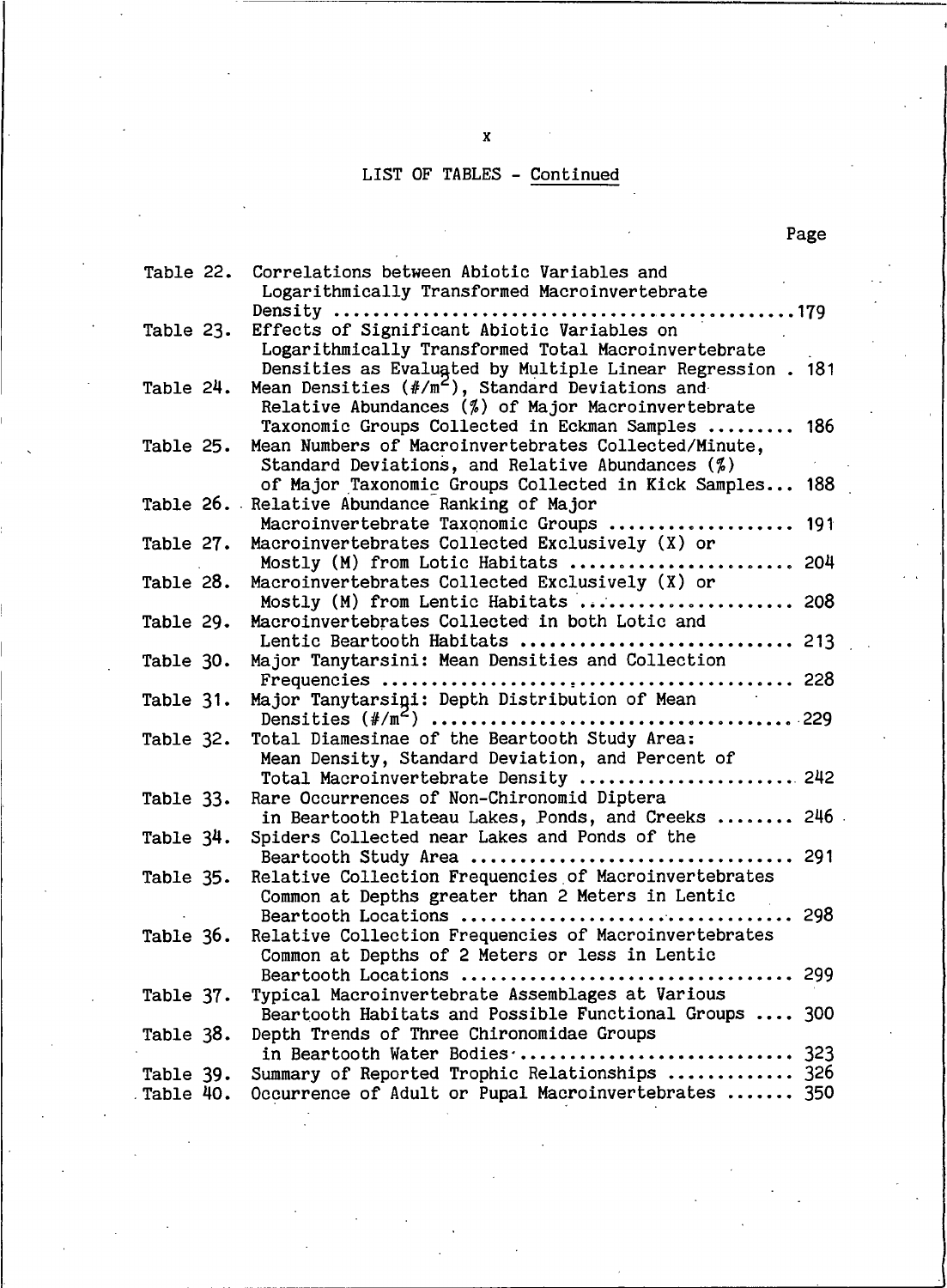# LIST OF TABLES - Continued

| Table 22. | Correlations between Abiotic Variables and<br>Logarithmically Transformed Macroinvertebrate                       |
|-----------|-------------------------------------------------------------------------------------------------------------------|
|           |                                                                                                                   |
| Table 23. | Effects of Significant Abiotic Variables on                                                                       |
|           | Logarithmically Transformed Total Macroinvertebrate<br>Densities as Evaluated by Multiple Linear Regression . 181 |
| Table 24. | Mean Densities (#/m <sup>2</sup> ), Standard Deviations and                                                       |
|           | Relative Abundances (%) of Major Macroinvertebrate                                                                |
|           | Taxonomic Groups Collected in Eckman Samples  186                                                                 |
| Table 25. | Mean Numbers of Macroinvertebrates Collected/Minute,                                                              |
|           | Standard Deviations, and Relative Abundances $(\%)$                                                               |
|           | of Major Taxonomic Groups Collected in Kick Samples 188<br>Table 26. Relative Abundance Ranking of Major          |
|           | Macroinvertebrate Taxonomic Groups  191                                                                           |
| Table 27. | Macroinvertebrates Collected Exclusively (X) or                                                                   |
|           | Mostly (M) from Lotic Habitats  204                                                                               |
| Table 28. | Macroinvertebrates Collected Exclusively (X) or                                                                   |
|           | Mostly (M) from Lentic Habitats  208                                                                              |
| Table 29. | Macroinvertebrates Collected in both Lotic and                                                                    |
| Table 30. | Lentic Beartooth Habitats  213<br>Major Tanytarsini: Mean Densities and Collection                                |
|           |                                                                                                                   |
| Table 31. | Major Tanytarsigi: Depth Distribution of Mean                                                                     |
|           |                                                                                                                   |
| Table 32. | Total Diamesinae of the Beartooth Study Area:                                                                     |
|           | Mean Density, Standard Deviation, and Percent of                                                                  |
|           | Total Macroinvertebrate Density  242                                                                              |
| Table 33. | Rare Occurrences of Non-Chironomid Diptera<br>in Beartooth Plateau Lakes, Ponds, and Creeks  246                  |
| Table 34. | Spiders Collected near Lakes and Ponds of the                                                                     |
|           |                                                                                                                   |
| Table 35. | Relative Collection Frequencies of Macroinvertebrates                                                             |
|           | Common at Depths greater than 2 Meters in Lentic                                                                  |
|           |                                                                                                                   |
| Table 36. | Relative Collection Frequencies of Macroinvertebrates                                                             |
|           | Common at Depths of 2 Meters or less in Lentic<br>Beartooth Locations  299                                        |
| Table 37. | Typical Macroinvertebrate Assemblages at Various                                                                  |
|           | Beartooth Habitats and Possible Functional Groups  300                                                            |
| Table 38. | Depth Trends of Three Chironomidae Groups                                                                         |
|           | in Beartooth Water Bodies  323                                                                                    |
| Table 39. | Summary of Reported Trophic Relationships  326                                                                    |
| Table 40. | Occurrence of Adult or Pupal Macroinvertebrates  350                                                              |

M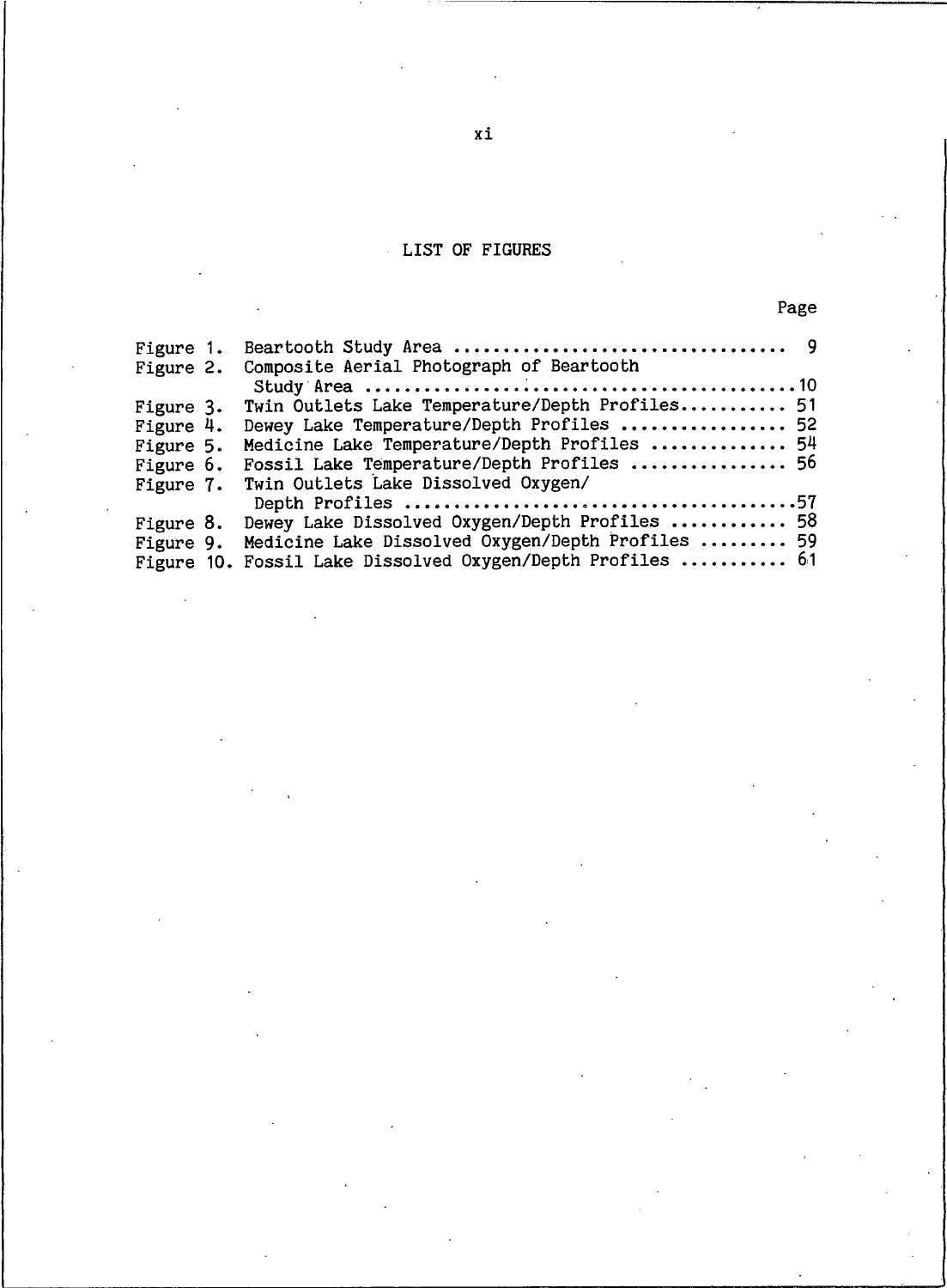### LIST OF FIGURES

|--|--|

| Figure 1. |                                                             |  |
|-----------|-------------------------------------------------------------|--|
| Figure 2. | Composite Aerial Photograph of Beartooth                    |  |
|           |                                                             |  |
| Figure 3. | Twin Outlets Lake Temperature/Depth Profiles 51             |  |
| Figure 4. | Dewey Lake Temperature/Depth Profiles  52                   |  |
| Figure 5. | Medicine Lake Temperature/Depth Profiles  54                |  |
| Figure 6. | Fossil Lake Temperature/Depth Profiles  56                  |  |
| Figure 7. | Twin Outlets Lake Dissolved Oxygen/                         |  |
|           |                                                             |  |
|           | Figure 8. Dewey Lake Dissolved Oxygen/Depth Profiles  58    |  |
|           | Figure 9. Medicine Lake Dissolved Oxygen/Depth Profiles  59 |  |
|           | Figure 10. Fossil Lake Dissolved Oxygen/Depth Profiles  61  |  |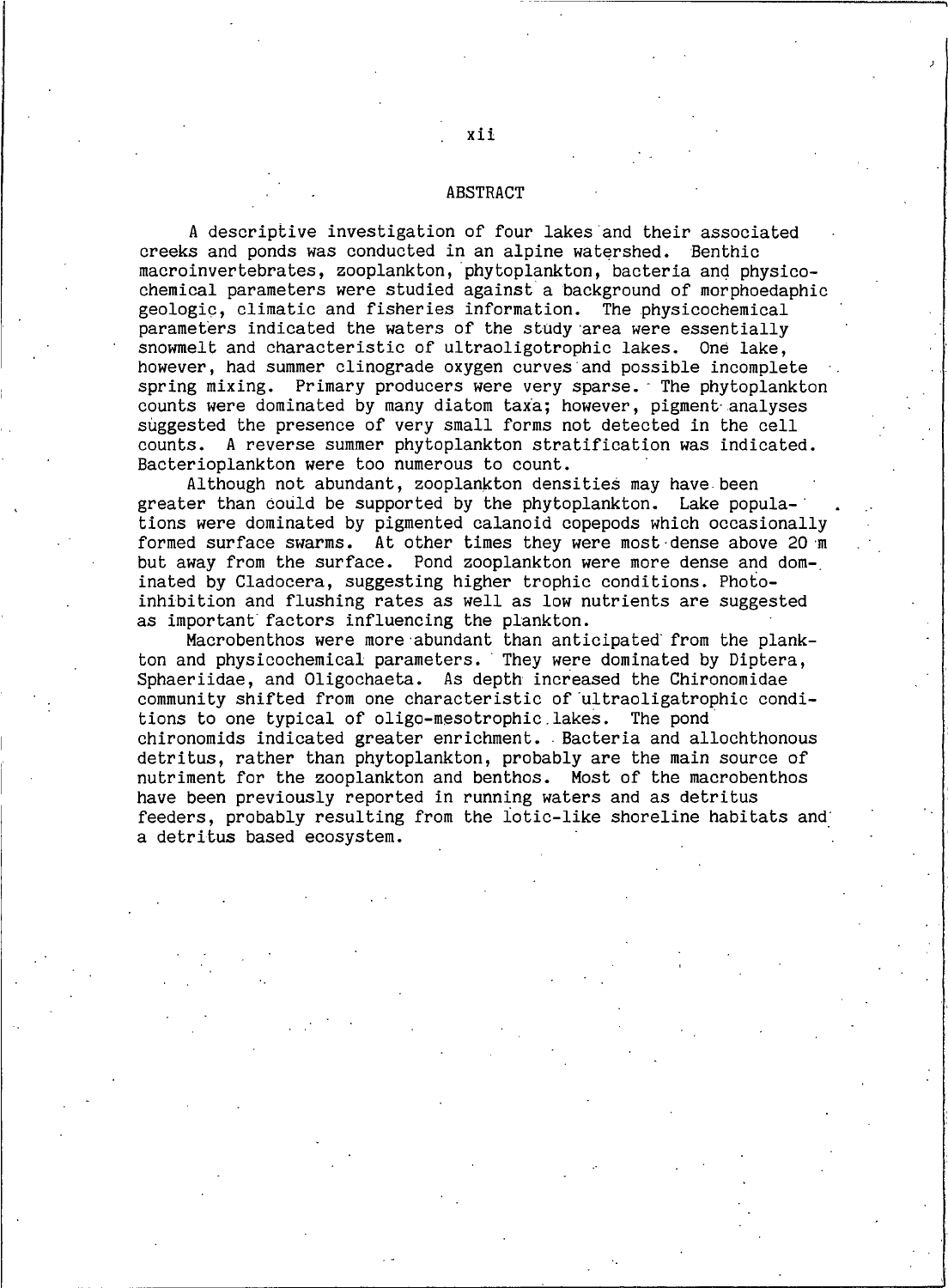#### **ABSTRACT**

A descriptive investigation of four lakes and their associated creeks and ponds was conducted in an alpine watershed. Benthic macroinvertebrates, zooplankton, phytoplankton, bacteria and physicochemical parameters were studied against a background of morphoedaphic geologic, climatic and fisheries information. The physicochemical parameters indicated the waters of the study area were essentially snowmelt and characteristic of ultraoligotrophic lakes. One lake, however, had summer clinograde oxygen curves and possible incomplete spring mixing. Primary producers were very sparse. The phytoplankton counts were dominated by many diatom taxa; however, pigment analyses suggested the presence of very small forms not detected in the cell counts. A reverse summer phytoplankton stratification was indicated. Bacterioplankton were too numerous to count.

Although not abundant, zooplankton densities may have been greater than could be supported by the phytoplankton. Lake populations were dominated by pigmented calanoid copepods which occasionally formed surface swarms. At other times they were most dense above 20 m but away from the surface. Pond zooplankton were more dense and dominated by Cladocera, suggesting higher trophic conditions. Photoinhibition and flushing rates as well as low nutrients are suggested as important factors influencing the plankton.

Macrobenthos were more abundant than anticipated from the plankton and physicochemical parameters. They were dominated by Diptera, Sphaeriidae, and Oligochaeta. As depth increased the Chironomidae community shifted from one characteristic of ultraoligatrophic conditions to one typical of oligo-mesotrophic lakes. The pond chironomids indicated greater enrichment. Bacteria and allochthonous detritus, rather than phytoplankton, probably are the main source of nutriment for the zooplankton and benthos. Most of the macrobenthos have been previously reported in running waters and as detritus feeders, probably resulting from the lotic-like shoreline habitats and a detritus based ecosystem.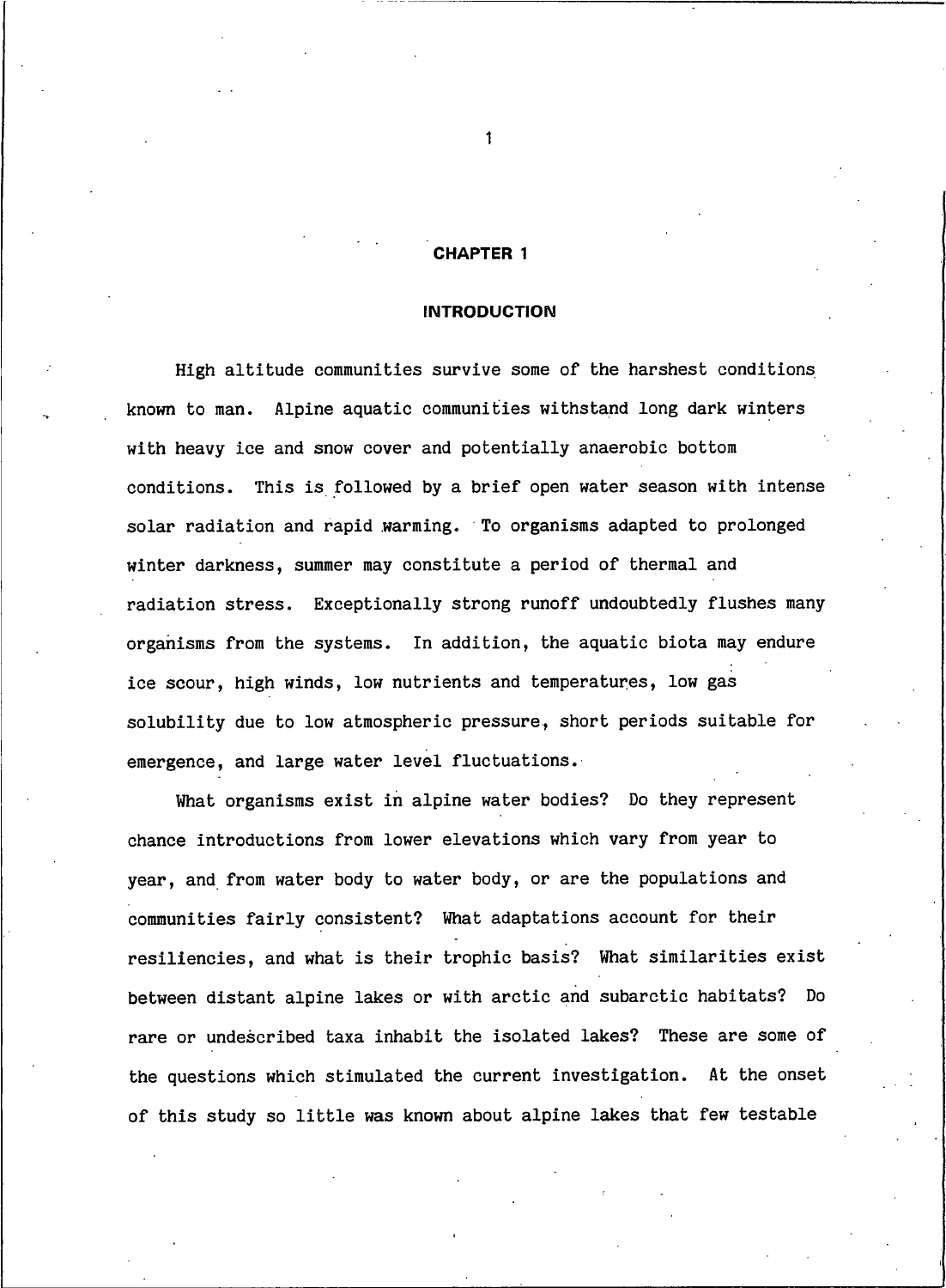#### **CHAPTER 1**

### **INTRODUCTION**

High altitude communities survive some of the harshest conditions known to man. Alpine aquatic communities withstand long dark winters with heavy ice and snow cover and potentially anaerobic bottom conditions. This is followed by a brief open water season with intense solar radiation and rapid warming. To organisms adapted to prolonged winter darkness, summer may constitute a period of thermal and radiation stress. Exceptionally strong runoff undoubtedly flushes many organisms from the systems. In addition, the aquatic biota may endure ice scour, high winds, low nutrients and temperatures, low gas solubility due to low atmospheric pressure, short periods suitable for emergence, and large water level fluctuations.

What organisms exist in alpine water bodies? Do they represent chance introductions from lower elevations which vary from year to year, and from water body to water body, or are the populations and communities fairly consistent? What adaptations account for their resiliencies, and what is their trophic basis? What similarities exist between distant alpine lakes or with arctic and subarctic habitats? Do rare or undescribed taxa inhabit the isolated lakes? These are some of the questions which stimulated the current investigation. At the onset of this study so little was known about alpine lakes that few testable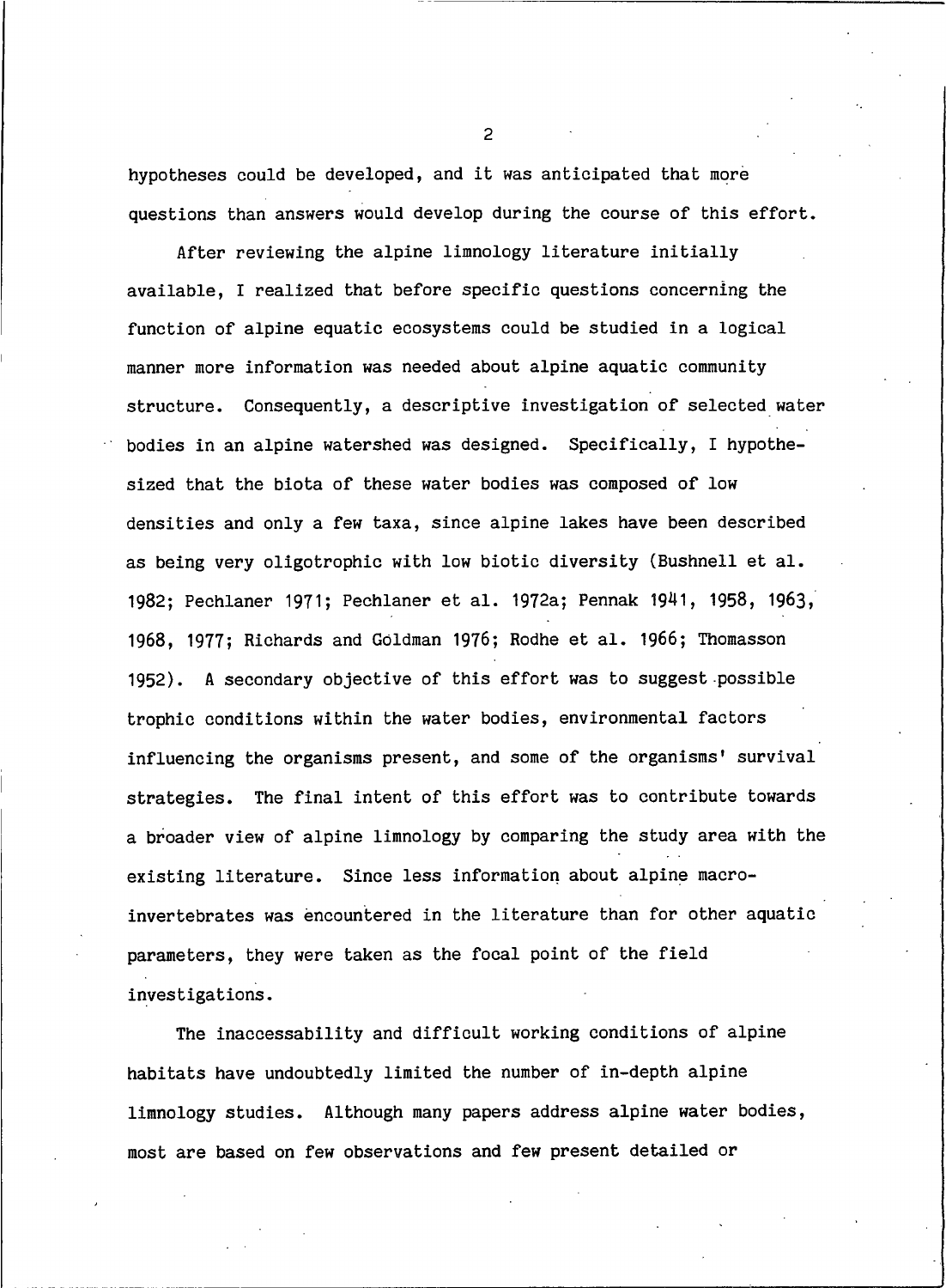hypotheses could be developed, and it was anticipated that more questions than answers would develop during the course of this effort.

After reviewing the alpine limnology literature initially available, I realized that before specific questions concerning the function of alpine equatic ecosystems could be studied in a logical manner more information was needed about alpine aquatic community structure. Consequently, a descriptive investigation of selected water bodies in an alpine watershed was designed. Specifically, I hypothesized that the biota of these water bodies was composed of low densities and only a few taxa, since alpine lakes have been described as being very oligotrophic with low biotic diversity (Bushnell et al. 1982; Pechlaner 1971; Pechlaner et al. 1972a; Pennak 1941, 1958, 1963, 1968, 1977; Richards and Goldman 1976; Rodhe et al. 1966; Thomasson 1952). A secondary objective of this effort was to suggest possible trophic conditions within the water bodies, environmental factors influencing the organisms present, and some of the organisms' survival strategies. The final intent of this effort was to contribute towards a broader view of alpine limnology by comparing the study area with the existing literature. Since less information about alpine macroinvertebrates was encountered in the literature than for other aquatic parameters, they were taken as the focal point of the field investigations.

The inaccessability and difficult working conditions of alpine habitats have undoubtedly limited the number of in-depth alpine limnology studies. Although many papers address alpine water bodies, most are based on few observations and few present detailed or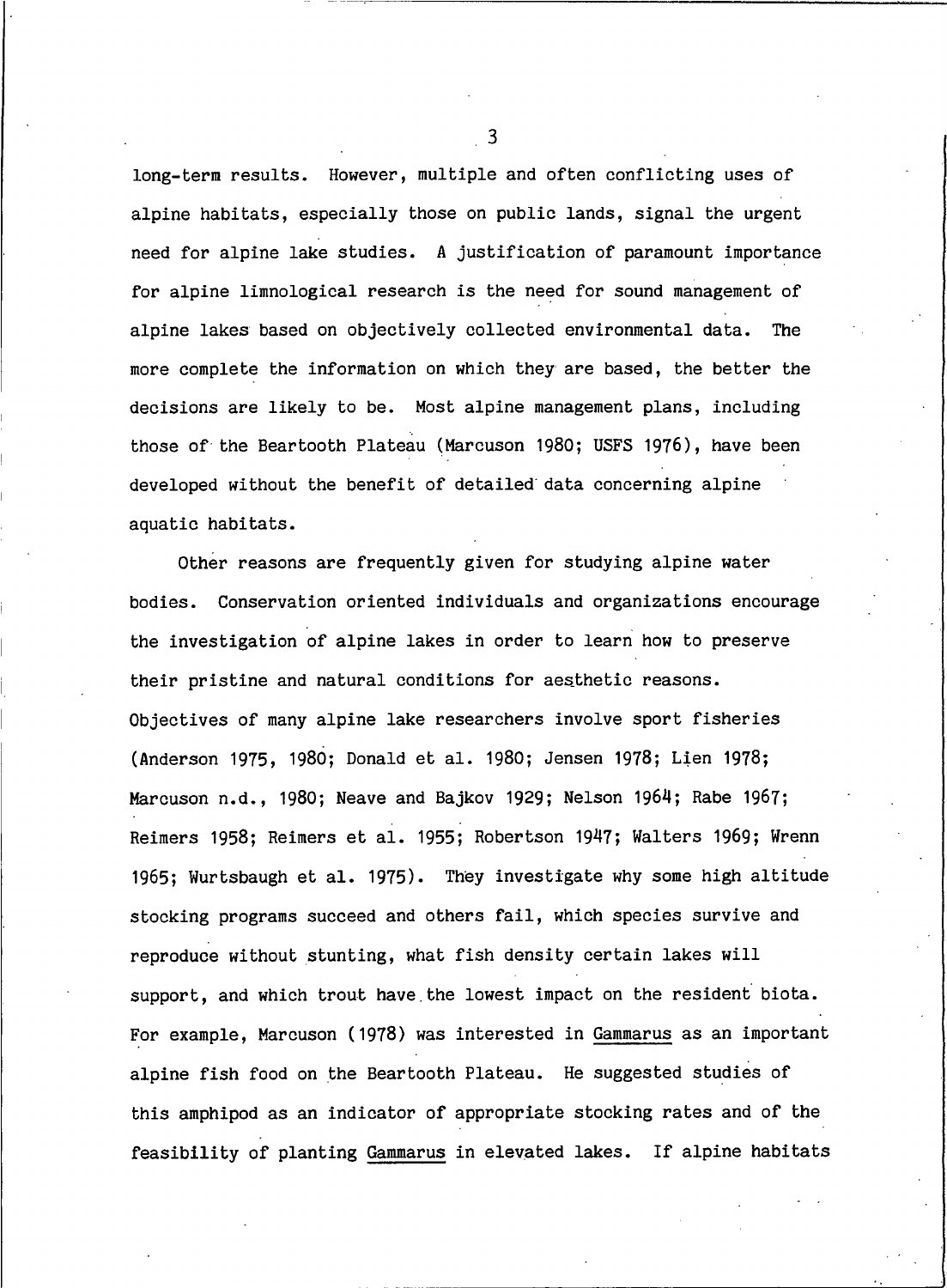long-term results. However, multiple and often conflicting uses of alpine habitats, especially those on public lands, signal the urgent need for alpine lake studies. A justification of paramount importance for alpine limnological research is the need for sound management of alpine lakes based on objectively collected environmental data. The more complete the information on which they are based, the better the decisions are likely to be. Most alpine management plans, including those of the Beartooth Plateau (Marcuson 1980; USFS 1976), have been developed without the benefit of detailed data concerning alpine aquatic habitats.

Other reasons are frequently given for studying alpine water bodies. Conservation oriented individuals and organizations encourage the investigation of alpine lakes in order to learn how to preserve their pristine and natural conditions for aesthetic reasons. Objectives of many alpine lake researchers involve sport fisheries (Anderson 1975, 1980; Donald et al. 1980; Jensen 1978; Lien 1978; Marcuson n.d., 1980; Neave and Bajkov 1929; Nelson 1964; Rabe 1967; Reimers 1958; Reimers et al. 1955; Robertson 1947; Walters 1969; Wrenn 1965; Wurtsbaugh et al. 1975). They investigate why some high altitude stocking programs succeed and others fail, which species survive and reproduce without stunting, what fish density certain lakes will support, and which trout have the lowest impact on the resident biota. For example, Marcuson (1978) was interested in Gammarus as an important alpine fish food on the Beartooth Plateau. He suggested studies of this amphipod as an indicator of appropriate stocking rates and of the feasibility of planting Gammarus in elevated lakes. If alpine habitats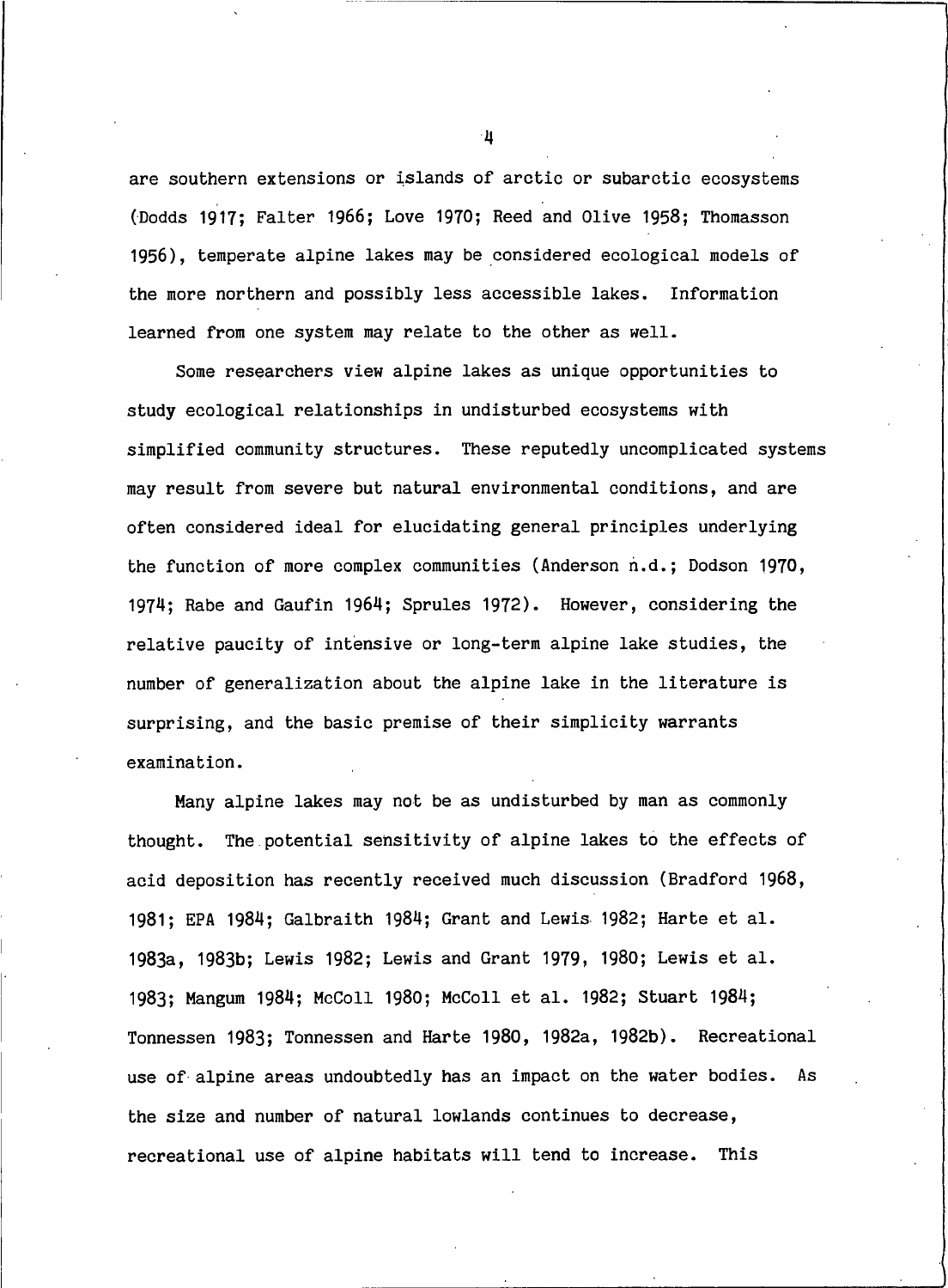are southern extensions or islands of arctic or subarctic ecosystems (Dodds 1917; Falter 1966; Love 1970; Reed and Olive 1958; Thomasson 1956), temperate alpine lakes may be considered ecological models of the more northern and possibly less accessible lakes. Information learned from one system may relate to the other as well.

Some researchers view alpine lakes as unique opportunities to study ecological relationships in undisturbed ecosystems with simplified community structures. These reputedly uncomplicated systems may result from severe but natural environmental conditions, and are often considered ideal for elucidating general principles underlying the function of more complex communities (Anderson n.d.; Dodson 1970, 1974; Rabe and Gaufin 1964; Sprules 1972). However, considering the relative paucity of intensive or long-term alpine lake studies, the number of generalization about the alpine lake in the literature is surprising, and the basic premise of their simplicity warrants examination.

Many alpine lakes may not be as undisturbed by man as commonly thought. The potential sensitivity of alpine lakes to the effects of acid deposition has recently received much discussion (Bradford 1968, 1981; EPA 1984; Galbraith 1984; Grant and Lewis 1982; Harte et al. 1983a, 1983b; Lewis 1982; Lewis and Grant 1979, 1980; Lewis et al. 1983; Mangum 1984; McColl 1980; McColl et al. 1982; Stuart 1984; Tonnessen 1983; Tonnessen and Harte 1980, 1982a, 1982b). Recreational use of alpine areas undoubtedly has an impact on the water bodies. As the size and number of natural lowlands continues to decrease, recreational use of alpine habitats will tend to increase. This

 $\cdot$ 4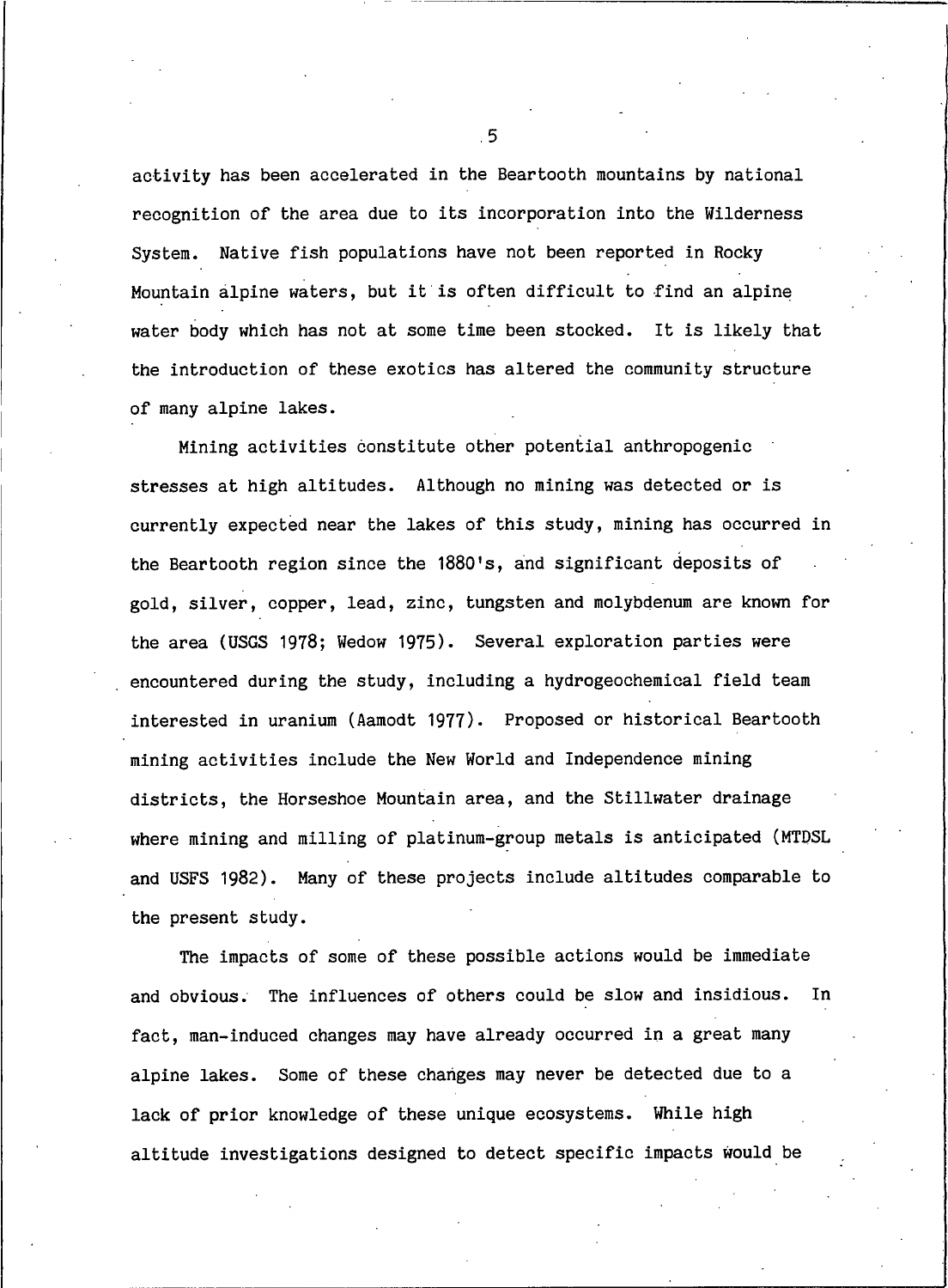activity has been accelerated in the Beartooth mountains by national recognition of the area due to its incorporation into the Wilderness System. Native fish populations have not been reported in Rocky Mountain alpine waters, but it is often difficult to find an alpine water body which has not at some time been stocked. It is likely that the introduction of these exotics has altered the community structure of many alpine lakes.

Mining activities constitute other potential anthropogenic stresses at high altitudes. Although no mining was detected or is currently expected near the lakes of this study, mining has occurred in the Beartooth region since the 1880's, and significant deposits of gold, silver, copper, lead, zinc, tungsten and molybdenum are known for the area (USGS 1978; Wedow 1975). Several exploration parties were encountered during the study, including a hydrogeochemical field team interested in uranium (Aamodt 1977). Proposed or historical Beartooth mining activities include the New World and Independence mining districts, the Horseshoe Mountain area, and the Stillwater drainage where mining and milling of platinum-group metals is anticipated (MTDSL and USFS 1982). Many of these projects include altitudes comparable to the present study.

The impacts of some of these possible actions would be immediate and obvious. The influences of others could be slow and insidious. In fact, man-induced changes may have already occurred in a great many alpine lakes. Some of these changes may never be detected due to a lack of prior knowledge of these unique ecosystems. While high altitude investigations designed to detect specific impacts would be

 $.5$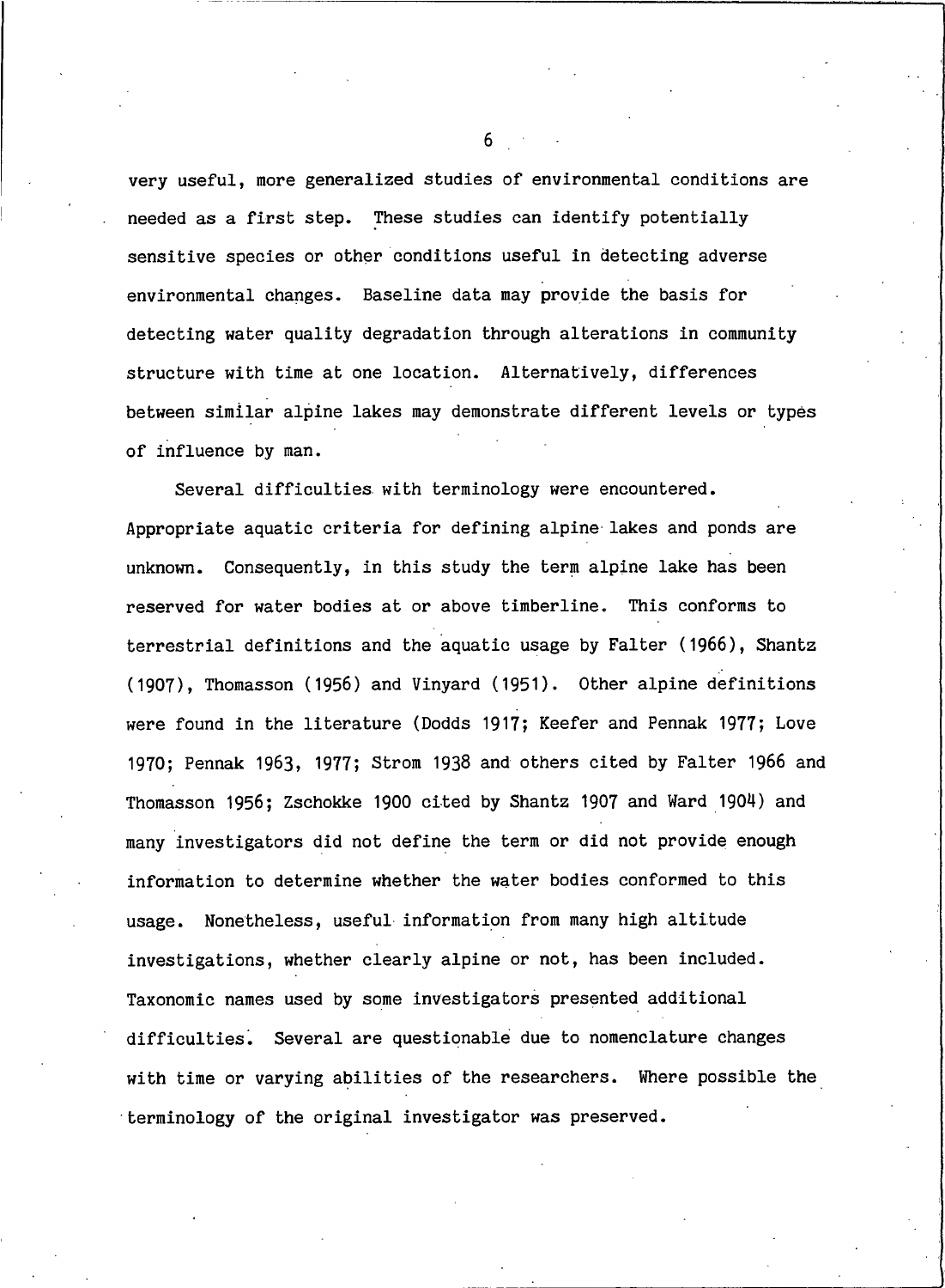very useful, more generalized studies of environmental conditions are needed as a first step. These studies can identify potentially sensitive species or other conditions useful in detecting adverse environmental changes. Baseline data may provide the basis for detecting water quality degradation through alterations in community structure with time at one location. Alternatively, differences between similar alpine lakes may demonstrate different levels or types of influence by man.

Several difficulties with terminology were encountered. Appropriate aquatic criteria for defining alpine lakes and ponds are unknown. Consequently, in this study the term alpine lake has been reserved for water bodies at or above timberline. This conforms to terrestrial definitions and the aquatic usage by Falter (1966), Shantz (1907), Thomasson (1956) and Vinyard (1951). Other alpine definitions were found in the literature (Dodds 1917; Keefer and Pennak 1977; Love 1970; Pennak 1963, 1977; Strom 1938 and others cited by Falter 1966 and Thomasson 1956; Zschokke 1900 cited by Shantz 1907 and Ward 1904) and many investigators did not define the term or did not provide enough information to determine whether the water bodies conformed to this usage. Nonetheless, useful information from many high altitude investigations, whether clearly alpine or not, has been included. Taxonomic names used by some investigators presented additional difficulties. Several are questionable due to nomenclature changes with time or varying abilities of the researchers. Where possible the terminology of the original investigator was preserved.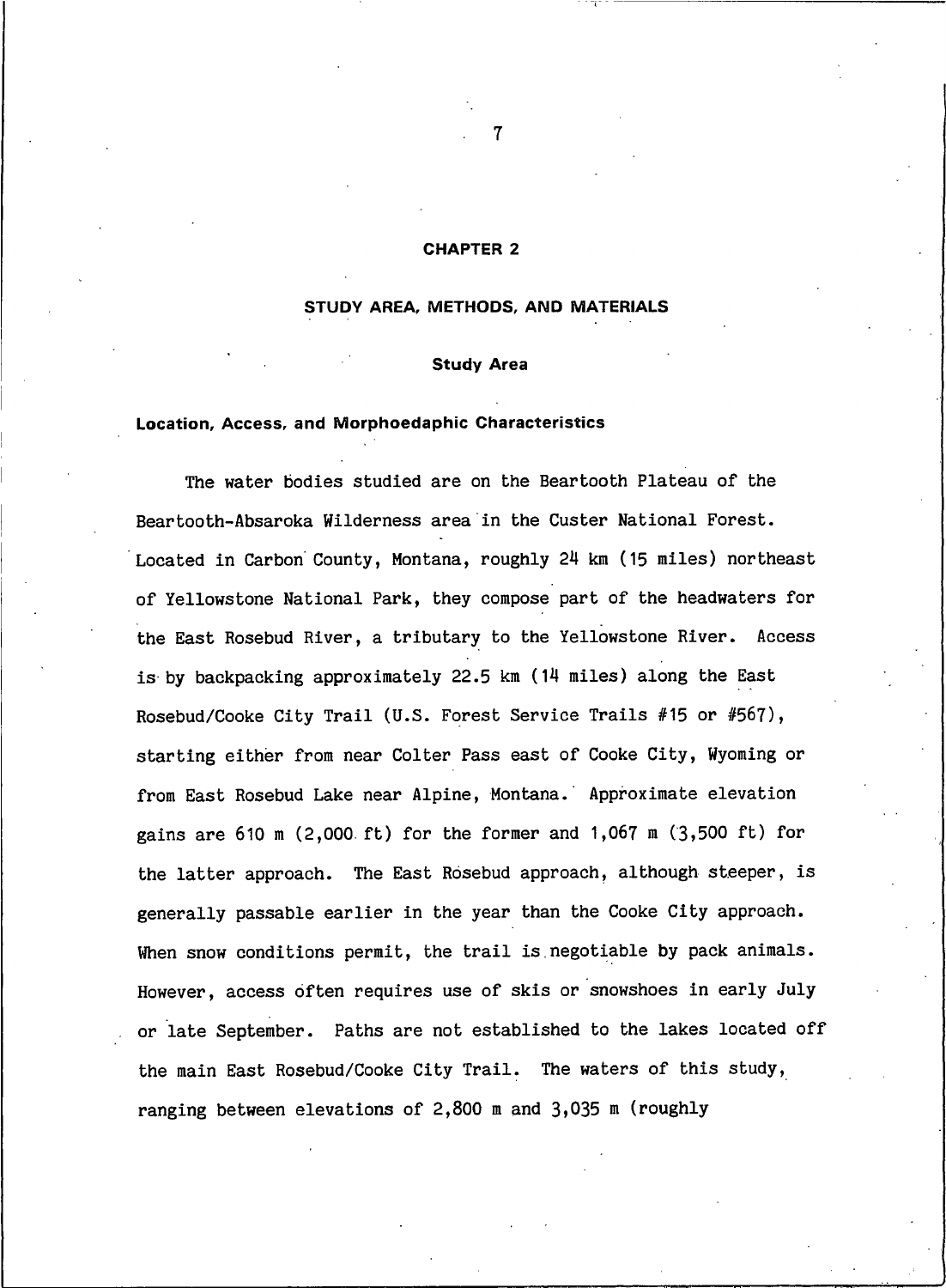#### **CHAPTER 2**

#### STUDY AREA, METHODS, AND MATERIALS

#### **Study Area**

#### Location, Access, and Morphoedaphic Characteristics

The water bodies studied are on the Beartooth Plateau of the Beartooth-Absaroka Wilderness area in the Custer National Forest. Located in Carbon County, Montana, roughly 24 km (15 miles) northeast of Yellowstone National Park, they compose part of the headwaters for the East Rosebud River, a tributary to the Yellowstone River. Access is by backpacking approximately 22.5 km (14 miles) along the East Rosebud/Cooke City Trail (U.S. Forest Service Trails #15 or #567), starting either from near Colter Pass east of Cooke City, Wyoming or from East Rosebud Lake near Alpine, Montana. Approximate elevation gains are 610 m (2,000 ft) for the former and 1,067 m (3,500 ft) for the latter approach. The East Rosebud approach, although steeper, is generally passable earlier in the year than the Cooke City approach. When snow conditions permit, the trail is negotiable by pack animals. However, access often requires use of skis or snowshoes in early July or late September. Paths are not established to the lakes located off the main East Rosebud/Cooke City Trail. The waters of this study, ranging between elevations of  $2,800$  m and  $3,035$  m (roughly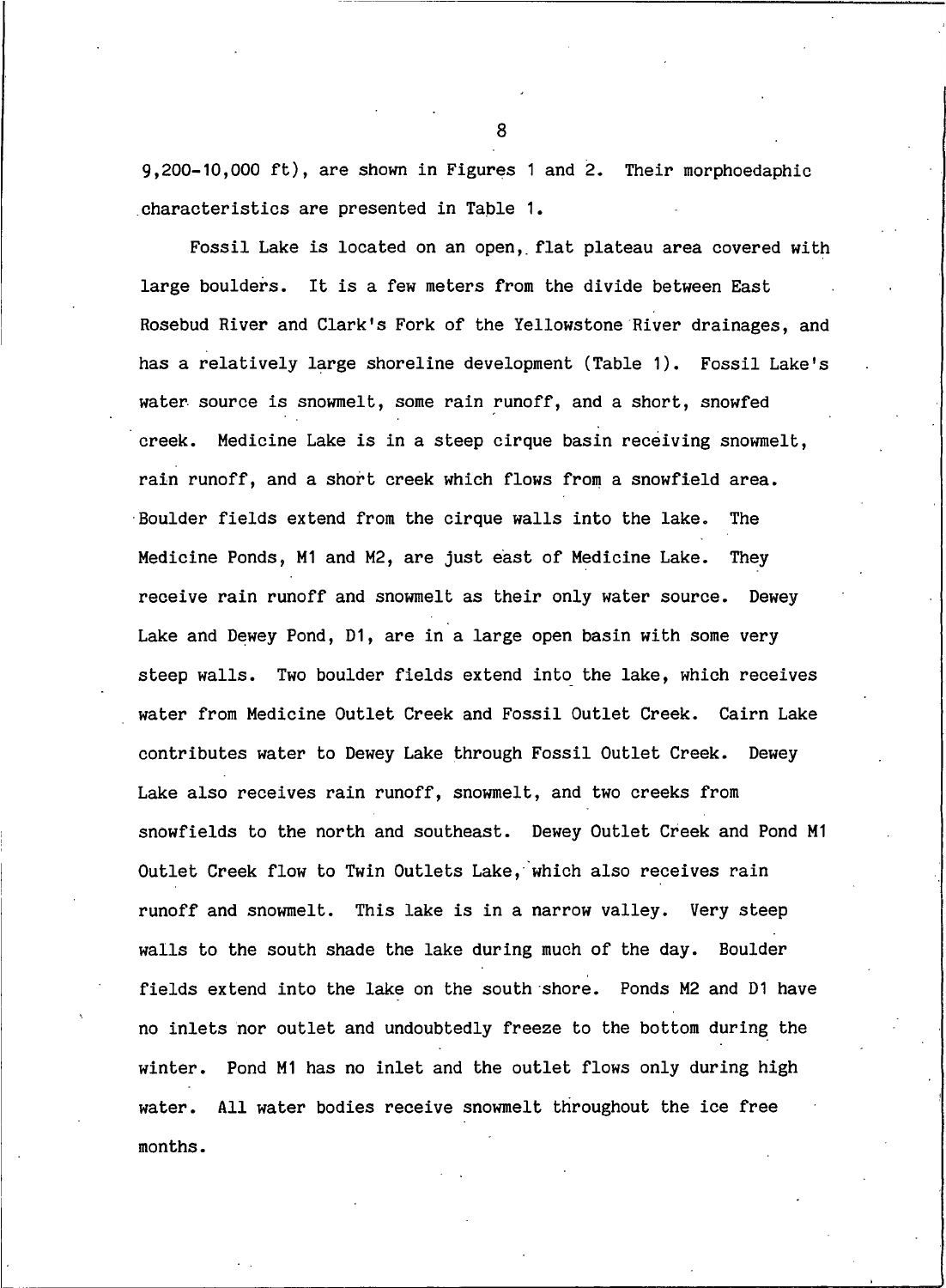9,200-10,000 ft), are shown in Figures 1 and 2. Their morphoedaphic characteristics are presented in Table 1.

Fossil Lake is located on an open, flat plateau area covered with large boulders. It is a few meters from the divide between East Rosebud River and Clark's Fork of the Yellowstone River drainages, and has a relatively large shoreline development (Table 1). Fossil Lake's water source is snowmelt, some rain runoff, and a short, snowfed creek. Medicine Lake is in a steep cirque basin receiving snowmelt, rain runoff, and a short creek which flows from a snowfield area. Boulder fields extend from the cirque walls into the lake. The Medicine Ponds, M1 and M2, are just east of Medicine Lake. They receive rain runoff and snowmelt as their only water source. Dewey Lake and Dewey Pond, D1, are in a large open basin with some very steep walls. Two boulder fields extend into the lake, which receives water from Medicine Outlet Creek and Fossil Outlet Creek. Cairn Lake contributes water to Dewey Lake through Fossil Outlet Creek. Dewey Lake also receives rain runoff, snowmelt, and two creeks from snowfields to the north and southeast. Dewey Outlet Creek and Pond M1 Outlet Creek flow to Twin Outlets Lake, which also receives rain runoff and snowmelt. This lake is in a narrow valley. Very steep walls to the south shade the lake during much of the day. Boulder fields extend into the lake on the south shore. Ponds M2 and D1 have no inlets nor outlet and undoubtedly freeze to the bottom during the winter. Pond M1 has no inlet and the outlet flows only during high water. All water bodies receive snowmelt throughout the ice free months.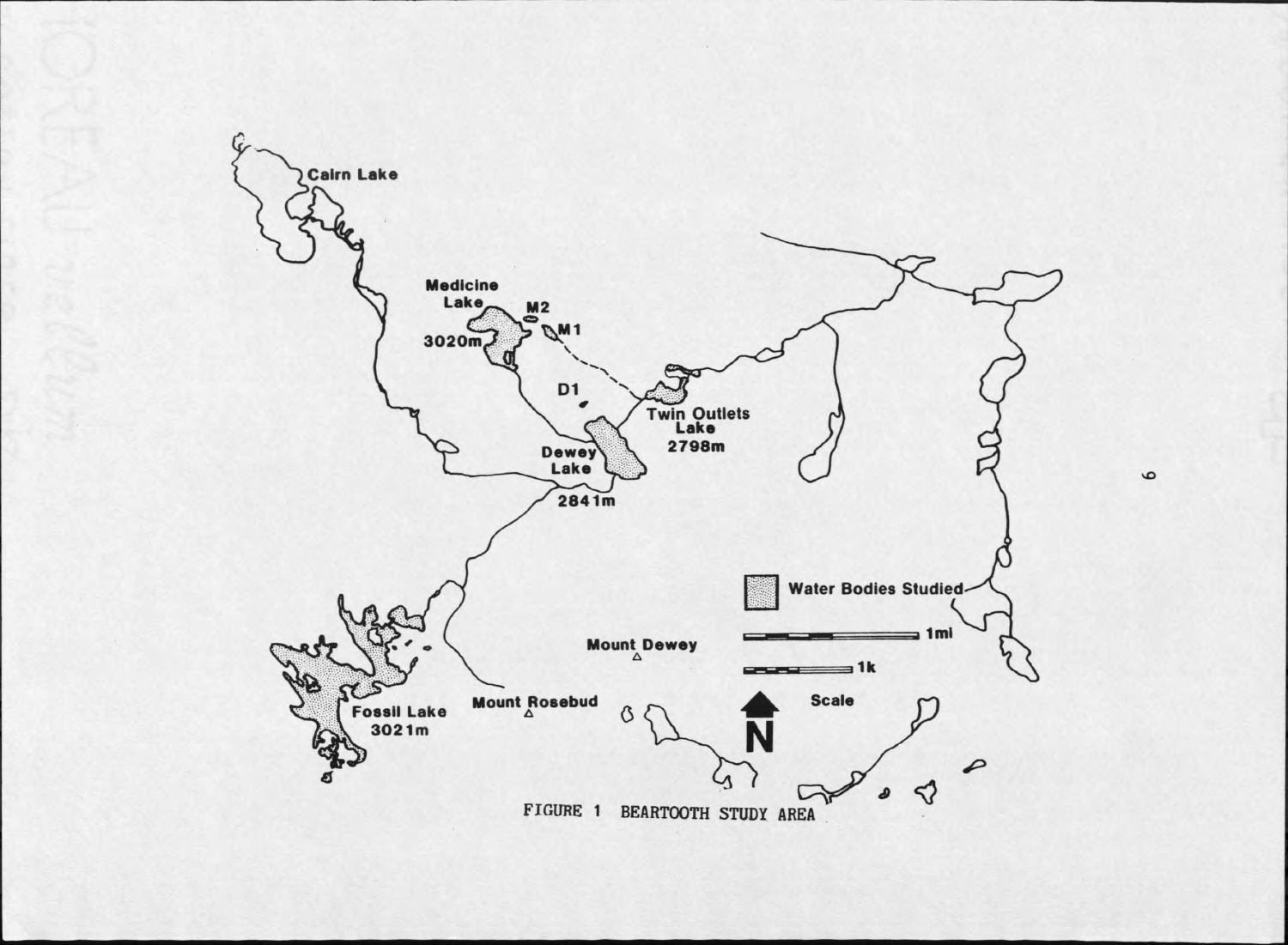

 $\bullet$